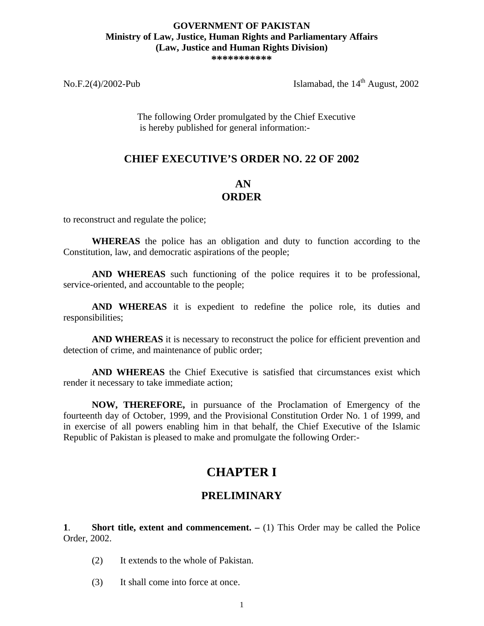### **GOVERNMENT OF PAKISTAN Ministry of Law, Justice, Human Rights and Parliamentary Affairs (Law, Justice and Human Rights Division)**

**\*\*\*\*\*\*\*\*\*\*\***

No.F.2(4)/2002-Pub Islamabad, the  $14<sup>th</sup>$  August, 2002

The following Order promulgated by the Chief Executive is hereby published for general information:-

#### **CHIEF EXECUTIVE'S ORDER NO. 22 OF 2002**

#### **AN ORDER**

to reconstruct and regulate the police;

**WHEREAS** the police has an obligation and duty to function according to the Constitution, law, and democratic aspirations of the people;

**AND WHEREAS** such functioning of the police requires it to be professional, service-oriented, and accountable to the people;

**AND WHEREAS** it is expedient to redefine the police role, its duties and responsibilities;

**AND WHEREAS** it is necessary to reconstruct the police for efficient prevention and detection of crime, and maintenance of public order;

**AND WHEREAS** the Chief Executive is satisfied that circumstances exist which render it necessary to take immediate action;

**NOW, THEREFORE,** in pursuance of the Proclamation of Emergency of the fourteenth day of October, 1999, and the Provisional Constitution Order No. 1 of 1999, and in exercise of all powers enabling him in that behalf, the Chief Executive of the Islamic Republic of Pakistan is pleased to make and promulgate the following Order:-

# **CHAPTER I**

#### **PRELIMINARY**

**1. Short title, extent and commencement.**  $- (1)$  This Order may be called the Police Order, 2002.

- (2) It extends to the whole of Pakistan.
- (3) It shall come into force at once.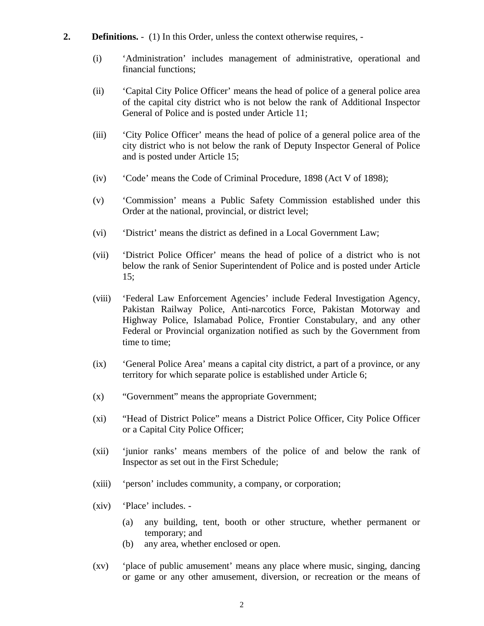- **2. Definitions.** (1) In this Order, unless the context otherwise requires, -
	- (i) 'Administration' includes management of administrative, operational and financial functions;
	- (ii) 'Capital City Police Officer' means the head of police of a general police area of the capital city district who is not below the rank of Additional Inspector General of Police and is posted under Article 11;
	- (iii) 'City Police Officer' means the head of police of a general police area of the city district who is not below the rank of Deputy Inspector General of Police and is posted under Article 15;
	- (iv) 'Code' means the Code of Criminal Procedure, 1898 (Act V of 1898);
	- (v) 'Commission' means a Public Safety Commission established under this Order at the national, provincial, or district level;
	- (vi) 'District' means the district as defined in a Local Government Law;
	- (vii) 'District Police Officer' means the head of police of a district who is not below the rank of Senior Superintendent of Police and is posted under Article 15;
	- (viii) 'Federal Law Enforcement Agencies' include Federal Investigation Agency, Pakistan Railway Police, Anti-narcotics Force, Pakistan Motorway and Highway Police, Islamabad Police, Frontier Constabulary, and any other Federal or Provincial organization notified as such by the Government from time to time;
	- (ix) 'General Police Area' means a capital city district, a part of a province, or any territory for which separate police is established under Article 6;
	- (x) "Government" means the appropriate Government;
	- (xi) "Head of District Police" means a District Police Officer, City Police Officer or a Capital City Police Officer;
	- (xii) 'junior ranks' means members of the police of and below the rank of Inspector as set out in the First Schedule;
	- (xiii) 'person' includes community, a company, or corporation;
	- (xiv) 'Place' includes.
		- (a) any building, tent, booth or other structure, whether permanent or temporary; and
		- (b) any area, whether enclosed or open.
	- (xv) 'place of public amusement' means any place where music, singing, dancing or game or any other amusement, diversion, or recreation or the means of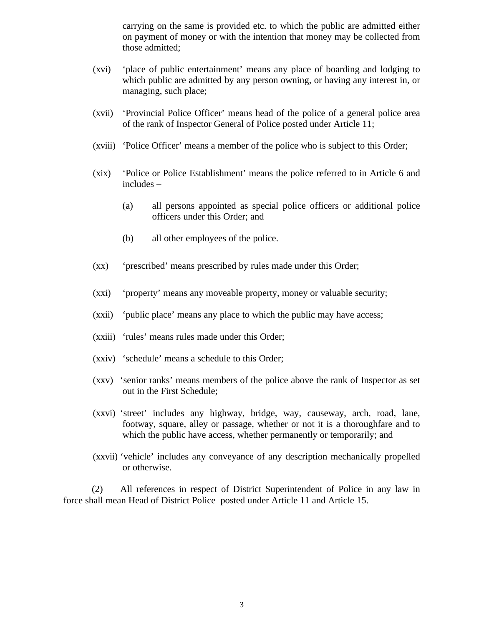carrying on the same is provided etc. to which the public are admitted either on payment of money or with the intention that money may be collected from those admitted;

- (xvi) 'place of public entertainment' means any place of boarding and lodging to which public are admitted by any person owning, or having any interest in, or managing, such place;
- (xvii) 'Provincial Police Officer' means head of the police of a general police area of the rank of Inspector General of Police posted under Article 11;
- (xviii) 'Police Officer' means a member of the police who is subject to this Order;
- (xix) 'Police or Police Establishment' means the police referred to in Article 6 and includes –
	- (a) all persons appointed as special police officers or additional police officers under this Order; and
	- (b) all other employees of the police.
- (xx) 'prescribed' means prescribed by rules made under this Order;
- (xxi) 'property' means any moveable property, money or valuable security;
- (xxii) 'public place' means any place to which the public may have access;
- (xxiii) 'rules' means rules made under this Order;
- (xxiv) 'schedule' means a schedule to this Order;
- (xxv) 'senior ranks' means members of the police above the rank of Inspector as set out in the First Schedule;
- (xxvi) 'street' includes any highway, bridge, way, causeway, arch, road, lane, footway, square, alley or passage, whether or not it is a thoroughfare and to which the public have access, whether permanently or temporarily; and
- (xxvii) 'vehicle' includes any conveyance of any description mechanically propelled or otherwise.

(2) All references in respect of District Superintendent of Police in any law in force shall mean Head of District Police posted under Article 11 and Article 15.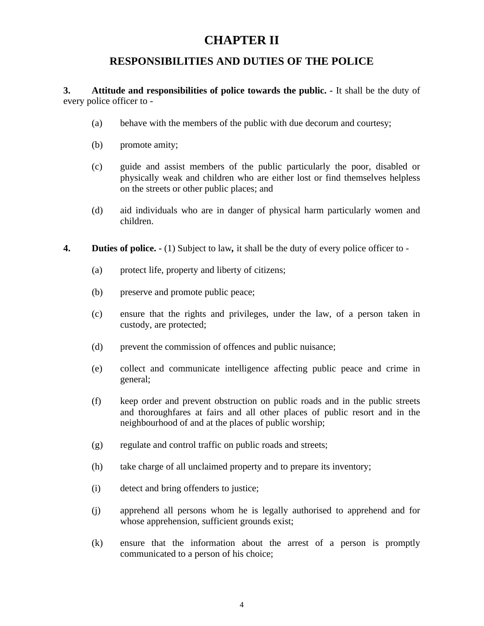# **CHAPTER II**

#### **RESPONSIBILITIES AND DUTIES OF THE POLICE**

**3. Attitude and responsibilities of police towards the public. -** It shall be the duty of every police officer to -

- (a) behave with the members of the public with due decorum and courtesy;
- (b) promote amity;
- (c) guide and assist members of the public particularly the poor, disabled or physically weak and children who are either lost or find themselves helpless on the streets or other public places; and
- (d) aid individuals who are in danger of physical harm particularly women and children.
- **4. Duties of police.** (1) Subject to law*,* it shall be the duty of every police officer to
	- (a) protect life, property and liberty of citizens;
	- (b) preserve and promote public peace;
	- (c) ensure that the rights and privileges, under the law, of a person taken in custody, are protected;
	- (d) prevent the commission of offences and public nuisance;
	- (e) collect and communicate intelligence affecting public peace and crime in general;
	- (f) keep order and prevent obstruction on public roads and in the public streets and thoroughfares at fairs and all other places of public resort and in the neighbourhood of and at the places of public worship;
	- (g) regulate and control traffic on public roads and streets;
	- (h) take charge of all unclaimed property and to prepare its inventory;
	- (i) detect and bring offenders to justice;
	- (j) apprehend all persons whom he is legally authorised to apprehend and for whose apprehension, sufficient grounds exist;
	- (k) ensure that the information about the arrest of a person is promptly communicated to a person of his choice;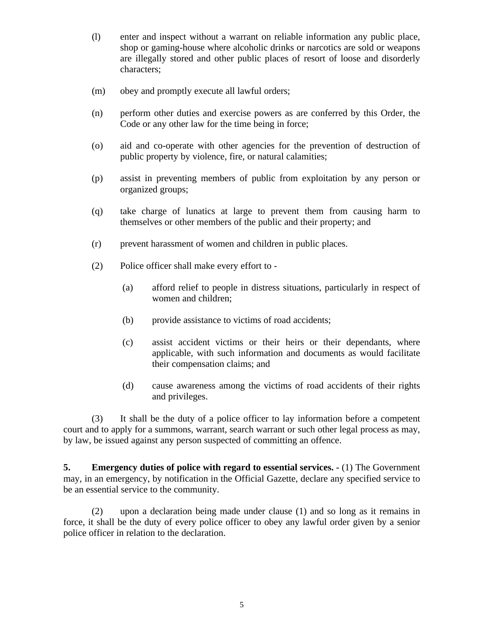- (l) enter and inspect without a warrant on reliable information any public place, shop or gaming-house where alcoholic drinks or narcotics are sold or weapons are illegally stored and other public places of resort of loose and disorderly characters;
- (m) obey and promptly execute all lawful orders;
- (n) perform other duties and exercise powers as are conferred by this Order, the Code or any other law for the time being in force;
- (o) aid and co-operate with other agencies for the prevention of destruction of public property by violence, fire, or natural calamities;
- (p) assist in preventing members of public from exploitation by any person or organized groups;
- (q) take charge of lunatics at large to prevent them from causing harm to themselves or other members of the public and their property; and
- (r) prevent harassment of women and children in public places.
- (2) Police officer shall make every effort to
	- (a) afford relief to people in distress situations, particularly in respect of women and children;
	- (b) provide assistance to victims of road accidents;
	- (c) assist accident victims or their heirs or their dependants, where applicable, with such information and documents as would facilitate their compensation claims; and
	- (d) cause awareness among the victims of road accidents of their rights and privileges.

(3) It shall be the duty of a police officer to lay information before a competent court and to apply for a summons, warrant, search warrant or such other legal process as may, by law, be issued against any person suspected of committing an offence.

**5. Emergency duties of police with regard to essential services.**  $\cdot$  **(1) The Government** may, in an emergency, by notification in the Official Gazette, declare any specified service to be an essential service to the community.

(2) upon a declaration being made under clause (1) and so long as it remains in force, it shall be the duty of every police officer to obey any lawful order given by a senior police officer in relation to the declaration.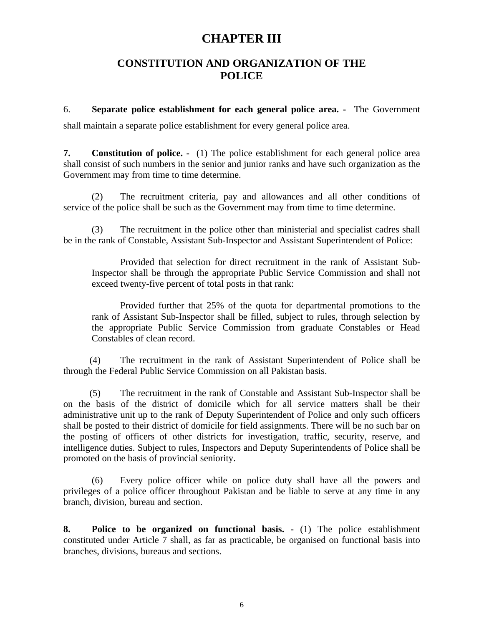### **CHAPTER III**

#### **CONSTITUTION AND ORGANIZATION OF THE POLICE**

6. **Separate police establishment for each general police area. -** The Government shall maintain a separate police establishment for every general police area.

**7. Constitution of police. -** (1) The police establishment for each general police area shall consist of such numbers in the senior and junior ranks and have such organization as the Government may from time to time determine.

(2) The recruitment criteria, pay and allowances and all other conditions of service of the police shall be such as the Government may from time to time determine.

(3) The recruitment in the police other than ministerial and specialist cadres shall be in the rank of Constable, Assistant Sub-Inspector and Assistant Superintendent of Police:

Provided that selection for direct recruitment in the rank of Assistant Sub-Inspector shall be through the appropriate Public Service Commission and shall not exceed twenty-five percent of total posts in that rank:

Provided further that 25% of the quota for departmental promotions to the rank of Assistant Sub-Inspector shall be filled, subject to rules, through selection by the appropriate Public Service Commission from graduate Constables or Head Constables of clean record.

 (4) The recruitment in the rank of Assistant Superintendent of Police shall be through the Federal Public Service Commission on all Pakistan basis.

 (5) The recruitment in the rank of Constable and Assistant Sub-Inspector shall be on the basis of the district of domicile which for all service matters shall be their administrative unit up to the rank of Deputy Superintendent of Police and only such officers shall be posted to their district of domicile for field assignments. There will be no such bar on the posting of officers of other districts for investigation, traffic, security, reserve, and intelligence duties. Subject to rules, Inspectors and Deputy Superintendents of Police shall be promoted on the basis of provincial seniority.

(6) Every police officer while on police duty shall have all the powers and privileges of a police officer throughout Pakistan and be liable to serve at any time in any branch, division, bureau and section.

**8. Police to be organized on functional basis. -** (1) The police establishment constituted under Article 7 shall, as far as practicable, be organised on functional basis into branches, divisions, bureaus and sections.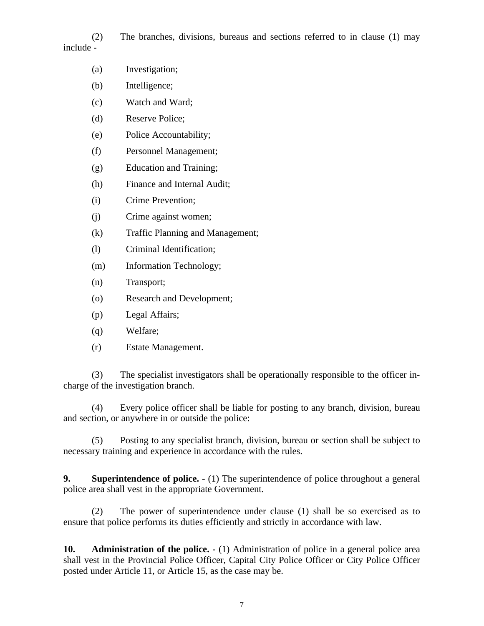(2) The branches, divisions, bureaus and sections referred to in clause (1) may include -

- (a) Investigation;
- (b) Intelligence;
- (c) Watch and Ward;
- (d) Reserve Police;
- (e) Police Accountability;
- (f) Personnel Management;
- (g) Education and Training;
- (h) Finance and Internal Audit;
- (i) Crime Prevention;
- (j) Crime against women;
- (k) Traffic Planning and Management;
- (l) Criminal Identification;
- (m) Information Technology;
- (n) Transport;
- (o) Research and Development;
- (p) Legal Affairs;
- (q) Welfare;
- (r) Estate Management.

(3) The specialist investigators shall be operationally responsible to the officer incharge of the investigation branch.

(4) Every police officer shall be liable for posting to any branch, division, bureau and section, or anywhere in or outside the police:

(5) Posting to any specialist branch, division, bureau or section shall be subject to necessary training and experience in accordance with the rules.

**9. Superintendence of police.** - (1) The superintendence of police throughout a general police area shall vest in the appropriate Government.

(2) The power of superintendence under clause (1) shall be so exercised as to ensure that police performs its duties efficiently and strictly in accordance with law.

**10. Administration of the police. -** (1) Administration of police in a general police area shall vest in the Provincial Police Officer, Capital City Police Officer or City Police Officer posted under Article 11, or Article 15, as the case may be.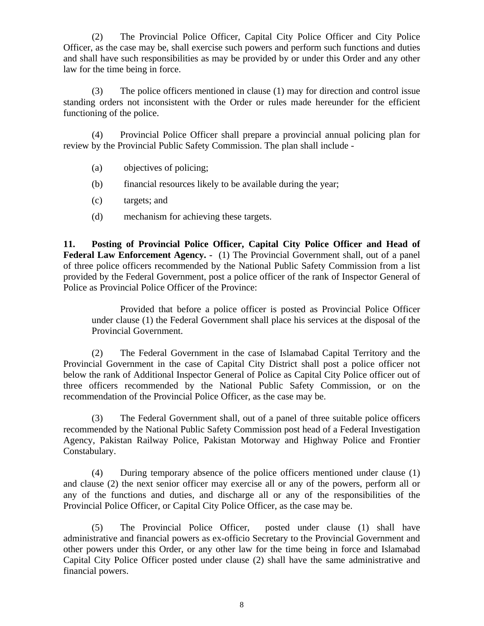(2) The Provincial Police Officer, Capital City Police Officer and City Police Officer, as the case may be, shall exercise such powers and perform such functions and duties and shall have such responsibilities as may be provided by or under this Order and any other law for the time being in force.

(3) The police officers mentioned in clause (1) may for direction and control issue standing orders not inconsistent with the Order or rules made hereunder for the efficient functioning of the police.

(4) Provincial Police Officer shall prepare a provincial annual policing plan for review by the Provincial Public Safety Commission. The plan shall include -

- (a) objectives of policing;
- (b) financial resources likely to be available during the year;
- (c) targets; and
- (d) mechanism for achieving these targets.

**11. Posting of Provincial Police Officer, Capital City Police Officer and Head of** Federal Law Enforcement Agency. - (1) The Provincial Government shall, out of a panel of three police officers recommended by the National Public Safety Commission from a list provided by the Federal Government, post a police officer of the rank of Inspector General of Police as Provincial Police Officer of the Province:

Provided that before a police officer is posted as Provincial Police Officer under clause (1) the Federal Government shall place his services at the disposal of the Provincial Government.

(2) The Federal Government in the case of Islamabad Capital Territory and the Provincial Government in the case of Capital City District shall post a police officer not below the rank of Additional Inspector General of Police as Capital City Police officer out of three officers recommended by the National Public Safety Commission, or on the recommendation of the Provincial Police Officer, as the case may be.

(3) The Federal Government shall, out of a panel of three suitable police officers recommended by the National Public Safety Commission post head of a Federal Investigation Agency, Pakistan Railway Police, Pakistan Motorway and Highway Police and Frontier Constabulary.

(4) During temporary absence of the police officers mentioned under clause (1) and clause (2) the next senior officer may exercise all or any of the powers, perform all or any of the functions and duties, and discharge all or any of the responsibilities of the Provincial Police Officer, or Capital City Police Officer, as the case may be.

(5) The Provincial Police Officer, posted under clause (1) shall have administrative and financial powers as ex-officio Secretary to the Provincial Government and other powers under this Order, or any other law for the time being in force and Islamabad Capital City Police Officer posted under clause (2) shall have the same administrative and financial powers.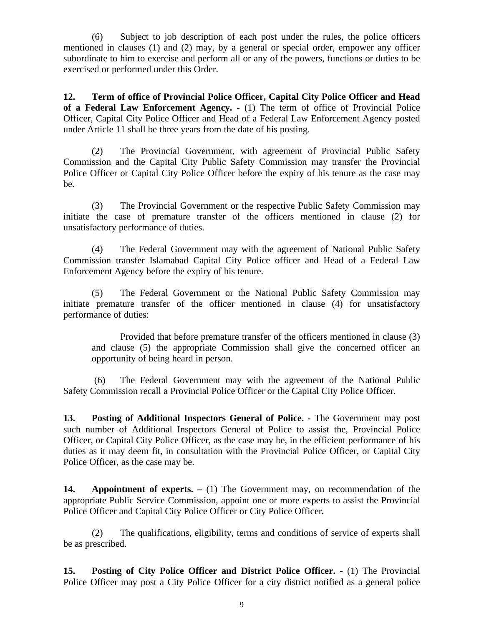(6) Subject to job description of each post under the rules, the police officers mentioned in clauses (1) and (2) may, by a general or special order, empower any officer subordinate to him to exercise and perform all or any of the powers, functions or duties to be exercised or performed under this Order.

**12. Term of office of Provincial Police Officer, Capital City Police Officer and Head of a Federal Law Enforcement Agency. -** (1) The term of office of Provincial Police Officer, Capital City Police Officer and Head of a Federal Law Enforcement Agency posted under Article 11 shall be three years from the date of his posting.

(2) The Provincial Government, with agreement of Provincial Public Safety Commission and the Capital City Public Safety Commission may transfer the Provincial Police Officer or Capital City Police Officer before the expiry of his tenure as the case may be.

(3) The Provincial Government or the respective Public Safety Commission may initiate the case of premature transfer of the officers mentioned in clause (2) for unsatisfactory performance of duties.

(4) The Federal Government may with the agreement of National Public Safety Commission transfer Islamabad Capital City Police officer and Head of a Federal Law Enforcement Agency before the expiry of his tenure.

(5) The Federal Government or the National Public Safety Commission may initiate premature transfer of the officer mentioned in clause (4) for unsatisfactory performance of duties:

Provided that before premature transfer of the officers mentioned in clause (3) and clause (5) the appropriate Commission shall give the concerned officer an opportunity of being heard in person.

 (6) The Federal Government may with the agreement of the National Public Safety Commission recall a Provincial Police Officer or the Capital City Police Officer.

**13. Posting of Additional Inspectors General of Police. -** The Government may post such number of Additional Inspectors General of Police to assist the, Provincial Police Officer, or Capital City Police Officer, as the case may be, in the efficient performance of his duties as it may deem fit, in consultation with the Provincial Police Officer, or Capital City Police Officer, as the case may be.

**14. Appointment of experts. –** (1) The Government may, on recommendation of the appropriate Public Service Commission, appoint one or more experts to assist the Provincial Police Officer and Capital City Police Officer or City Police Officer*.*

(2) The qualifications, eligibility, terms and conditions of service of experts shall be as prescribed.

**15. Posting of City Police Officer and District Police Officer. -** (1) The Provincial Police Officer may post a City Police Officer for a city district notified as a general police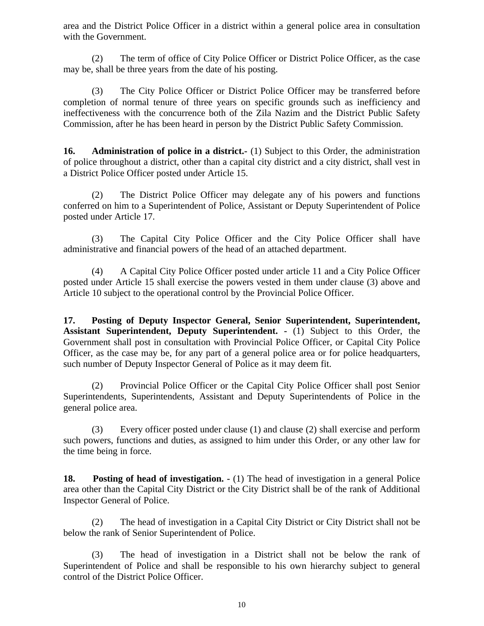area and the District Police Officer in a district within a general police area in consultation with the Government.

(2) The term of office of City Police Officer or District Police Officer, as the case may be, shall be three years from the date of his posting.

(3) The City Police Officer or District Police Officer may be transferred before completion of normal tenure of three years on specific grounds such as inefficiency and ineffectiveness with the concurrence both of the Zila Nazim and the District Public Safety Commission, after he has been heard in person by the District Public Safety Commission.

**16. Administration of police in a district.**- (1) Subject to this Order, the administration of police throughout a district, other than a capital city district and a city district, shall vest in a District Police Officer posted under Article 15.

(2) The District Police Officer may delegate any of his powers and functions conferred on him to a Superintendent of Police, Assistant or Deputy Superintendent of Police posted under Article 17.

(3) The Capital City Police Officer and the City Police Officer shall have administrative and financial powers of the head of an attached department.

(4) A Capital City Police Officer posted under article 11 and a City Police Officer posted under Article 15 shall exercise the powers vested in them under clause (3) above and Article 10 subject to the operational control by the Provincial Police Officer.

**17. Posting of Deputy Inspector General, Senior Superintendent, Superintendent, Assistant Superintendent, Deputy Superintendent. -** (1) Subject to this Order, the Government shall post in consultation with Provincial Police Officer, or Capital City Police Officer, as the case may be, for any part of a general police area or for police headquarters, such number of Deputy Inspector General of Police as it may deem fit.

(2) Provincial Police Officer or the Capital City Police Officer shall post Senior Superintendents, Superintendents, Assistant and Deputy Superintendents of Police in the general police area.

(3) Every officer posted under clause (1) and clause (2) shall exercise and perform such powers, functions and duties, as assigned to him under this Order, or any other law for the time being in force.

**18. Posting of head of investigation. -** (1) The head of investigation in a general Police area other than the Capital City District or the City District shall be of the rank of Additional Inspector General of Police.

(2) The head of investigation in a Capital City District or City District shall not be below the rank of Senior Superintendent of Police.

(3) The head of investigation in a District shall not be below the rank of Superintendent of Police and shall be responsible to his own hierarchy subject to general control of the District Police Officer.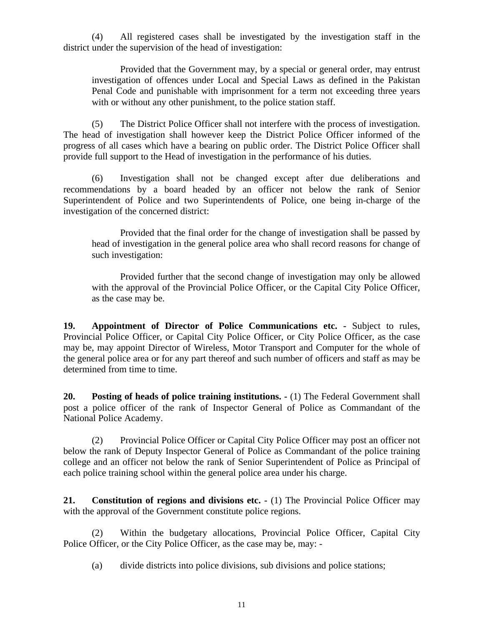(4) All registered cases shall be investigated by the investigation staff in the district under the supervision of the head of investigation:

Provided that the Government may, by a special or general order, may entrust investigation of offences under Local and Special Laws as defined in the Pakistan Penal Code and punishable with imprisonment for a term not exceeding three years with or without any other punishment, to the police station staff.

(5) The District Police Officer shall not interfere with the process of investigation. The head of investigation shall however keep the District Police Officer informed of the progress of all cases which have a bearing on public order. The District Police Officer shall provide full support to the Head of investigation in the performance of his duties.

(6) Investigation shall not be changed except after due deliberations and recommendations by a board headed by an officer not below the rank of Senior Superintendent of Police and two Superintendents of Police, one being in-charge of the investigation of the concerned district:

Provided that the final order for the change of investigation shall be passed by head of investigation in the general police area who shall record reasons for change of such investigation:

Provided further that the second change of investigation may only be allowed with the approval of the Provincial Police Officer, or the Capital City Police Officer, as the case may be.

**19. Appointment of Director of Police Communications etc. -** Subject to rules, Provincial Police Officer, or Capital City Police Officer, or City Police Officer, as the case may be, may appoint Director of Wireless, Motor Transport and Computer for the whole of the general police area or for any part thereof and such number of officers and staff as may be determined from time to time.

**20. Posting of heads of police training institutions. -** (1) The Federal Government shall post a police officer of the rank of Inspector General of Police as Commandant of the National Police Academy.

(2) Provincial Police Officer or Capital City Police Officer may post an officer not below the rank of Deputy Inspector General of Police as Commandant of the police training college and an officer not below the rank of Senior Superintendent of Police as Principal of each police training school within the general police area under his charge.

**21. Constitution of regions and divisions etc.**  $\cdot$  (1) The Provincial Police Officer may with the approval of the Government constitute police regions.

(2) Within the budgetary allocations, Provincial Police Officer, Capital City Police Officer, or the City Police Officer, as the case may be, may: -

(a) divide districts into police divisions, sub divisions and police stations;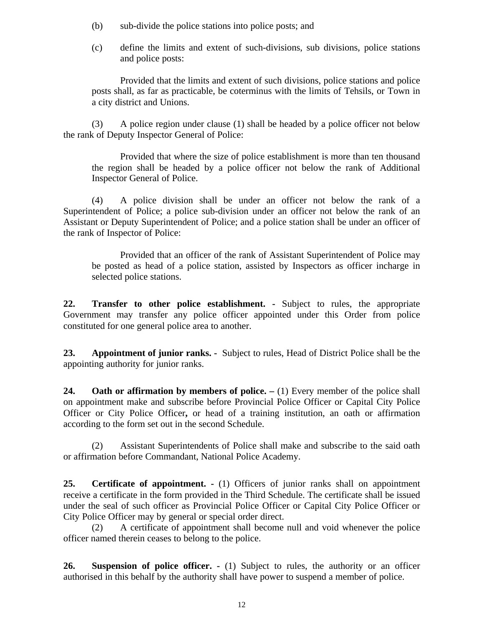- (b) sub-divide the police stations into police posts; and
- (c) define the limits and extent of such-divisions, sub divisions, police stations and police posts:

Provided that the limits and extent of such divisions, police stations and police posts shall, as far as practicable, be coterminus with the limits of Tehsils, or Town in a city district and Unions.

(3) A police region under clause (1) shall be headed by a police officer not below the rank of Deputy Inspector General of Police:

Provided that where the size of police establishment is more than ten thousand the region shall be headed by a police officer not below the rank of Additional Inspector General of Police.

(4) A police division shall be under an officer not below the rank of a Superintendent of Police; a police sub-division under an officer not below the rank of an Assistant or Deputy Superintendent of Police; and a police station shall be under an officer of the rank of Inspector of Police:

Provided that an officer of the rank of Assistant Superintendent of Police may be posted as head of a police station, assisted by Inspectors as officer incharge in selected police stations.

**22. Transfer to other police establishment. -** Subject to rules, the appropriate Government may transfer any police officer appointed under this Order from police constituted for one general police area to another.

**23. Appointment of junior ranks. -** Subject to rules, Head of District Police shall be the appointing authority for junior ranks.

**24.** Oath or affirmation by members of police.  $- (1)$  Every member of the police shall on appointment make and subscribe before Provincial Police Officer or Capital City Police Officer or City Police Officer**,** or head of a training institution, an oath or affirmation according to the form set out in the second Schedule.

(2) Assistant Superintendents of Police shall make and subscribe to the said oath or affirmation before Commandant, National Police Academy.

**25. Certificate of appointment. -** (1) Officers of junior ranks shall on appointment receive a certificate in the form provided in the Third Schedule. The certificate shall be issued under the seal of such officer as Provincial Police Officer or Capital City Police Officer or City Police Officer may by general or special order direct.

(2) A certificate of appointment shall become null and void whenever the police officer named therein ceases to belong to the police.

**26. Suspension of police officer. -** (1) Subject to rules, the authority or an officer authorised in this behalf by the authority shall have power to suspend a member of police.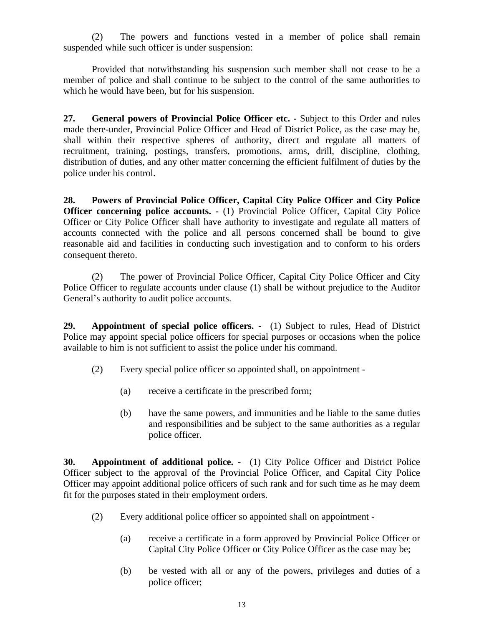(2) The powers and functions vested in a member of police shall remain suspended while such officer is under suspension:

Provided that notwithstanding his suspension such member shall not cease to be a member of police and shall continue to be subject to the control of the same authorities to which he would have been, but for his suspension.

**27. General powers of Provincial Police Officer etc. -** Subject to this Order and rules made there-under, Provincial Police Officer and Head of District Police, as the case may be, shall within their respective spheres of authority, direct and regulate all matters of recruitment, training, postings, transfers, promotions, arms, drill, discipline, clothing, distribution of duties, and any other matter concerning the efficient fulfilment of duties by the police under his control.

**28. Powers of Provincial Police Officer, Capital City Police Officer and City Police Officer concerning police accounts. -** (1) Provincial Police Officer, Capital City Police Officer or City Police Officer shall have authority to investigate and regulate all matters of accounts connected with the police and all persons concerned shall be bound to give reasonable aid and facilities in conducting such investigation and to conform to his orders consequent thereto.

(2) The power of Provincial Police Officer, Capital City Police Officer and City Police Officer to regulate accounts under clause (1) shall be without prejudice to the Auditor General's authority to audit police accounts.

**29. Appointment of special police officers. -** (1) Subject to rules, Head of District Police may appoint special police officers for special purposes or occasions when the police available to him is not sufficient to assist the police under his command.

- (2) Every special police officer so appointed shall, on appointment
	- (a) receive a certificate in the prescribed form;
	- (b) have the same powers, and immunities and be liable to the same duties and responsibilities and be subject to the same authorities as a regular police officer.

**30. Appointment of additional police. -** (1) City Police Officer and District Police Officer subject to the approval of the Provincial Police Officer, and Capital City Police Officer may appoint additional police officers of such rank and for such time as he may deem fit for the purposes stated in their employment orders.

- (2) Every additional police officer so appointed shall on appointment
	- (a) receive a certificate in a form approved by Provincial Police Officer or Capital City Police Officer or City Police Officer as the case may be;
	- (b) be vested with all or any of the powers, privileges and duties of a police officer;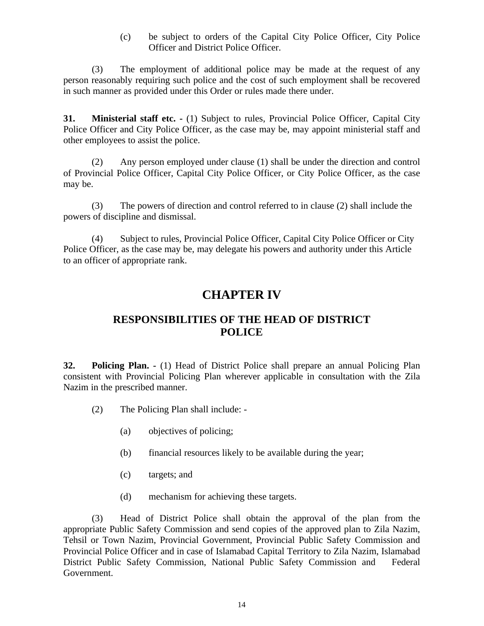(c) be subject to orders of the Capital City Police Officer, City Police Officer and District Police Officer.

(3) The employment of additional police may be made at the request of any person reasonably requiring such police and the cost of such employment shall be recovered in such manner as provided under this Order or rules made there under.

**31. Ministerial staff etc. -** (1) Subject to rules, Provincial Police Officer, Capital City Police Officer and City Police Officer, as the case may be, may appoint ministerial staff and other employees to assist the police.

(2) Any person employed under clause (1) shall be under the direction and control of Provincial Police Officer, Capital City Police Officer, or City Police Officer, as the case may be.

(3) The powers of direction and control referred to in clause (2) shall include the powers of discipline and dismissal.

(4) Subject to rules, Provincial Police Officer, Capital City Police Officer or City Police Officer, as the case may be, may delegate his powers and authority under this Article to an officer of appropriate rank.

# **CHAPTER IV**

### **RESPONSIBILITIES OF THE HEAD OF DISTRICT POLICE**

**32. Policing Plan. -** (1) Head of District Police shall prepare an annual Policing Plan consistent with Provincial Policing Plan wherever applicable in consultation with the Zila Nazim in the prescribed manner.

- (2) The Policing Plan shall include:
	- (a) objectives of policing;
	- (b) financial resources likely to be available during the year;
	- (c) targets; and
	- (d) mechanism for achieving these targets.

(3) Head of District Police shall obtain the approval of the plan from the appropriate Public Safety Commission and send copies of the approved plan to Zila Nazim, Tehsil or Town Nazim, Provincial Government, Provincial Public Safety Commission and Provincial Police Officer and in case of Islamabad Capital Territory to Zila Nazim, Islamabad District Public Safety Commission, National Public Safety Commission and Federal Government.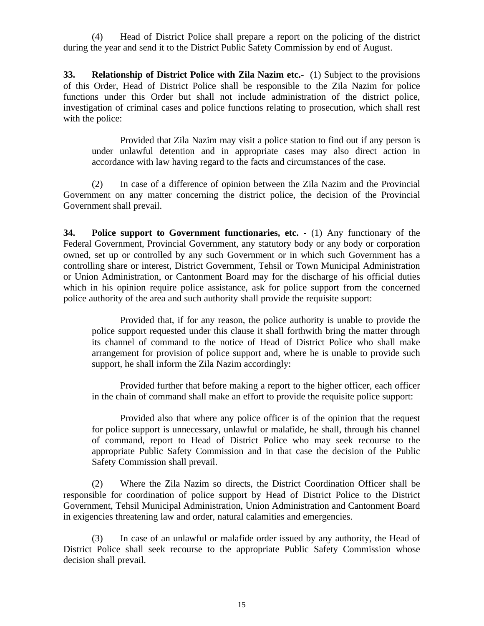(4) Head of District Police shall prepare a report on the policing of the district during the year and send it to the District Public Safety Commission by end of August.

**33. Relationship of District Police with Zila Nazim etc.-** (1) Subject to the provisions of this Order, Head of District Police shall be responsible to the Zila Nazim for police functions under this Order but shall not include administration of the district police, investigation of criminal cases and police functions relating to prosecution, which shall rest with the police:

Provided that Zila Nazim may visit a police station to find out if any person is under unlawful detention and in appropriate cases may also direct action in accordance with law having regard to the facts and circumstances of the case.

(2) In case of a difference of opinion between the Zila Nazim and the Provincial Government on any matter concerning the district police, the decision of the Provincial Government shall prevail.

**34. Police support to Government functionaries, etc.** - (1) Any functionary of the Federal Government, Provincial Government, any statutory body or any body or corporation owned, set up or controlled by any such Government or in which such Government has a controlling share or interest, District Government, Tehsil or Town Municipal Administration or Union Administration, or Cantonment Board may for the discharge of his official duties which in his opinion require police assistance, ask for police support from the concerned police authority of the area and such authority shall provide the requisite support:

Provided that, if for any reason, the police authority is unable to provide the police support requested under this clause it shall forthwith bring the matter through its channel of command to the notice of Head of District Police who shall make arrangement for provision of police support and, where he is unable to provide such support, he shall inform the Zila Nazim accordingly:

Provided further that before making a report to the higher officer, each officer in the chain of command shall make an effort to provide the requisite police support:

Provided also that where any police officer is of the opinion that the request for police support is unnecessary, unlawful or malafide, he shall, through his channel of command, report to Head of District Police who may seek recourse to the appropriate Public Safety Commission and in that case the decision of the Public Safety Commission shall prevail.

(2) Where the Zila Nazim so directs, the District Coordination Officer shall be responsible for coordination of police support by Head of District Police to the District Government, Tehsil Municipal Administration, Union Administration and Cantonment Board in exigencies threatening law and order, natural calamities and emergencies.

(3) In case of an unlawful or malafide order issued by any authority, the Head of District Police shall seek recourse to the appropriate Public Safety Commission whose decision shall prevail.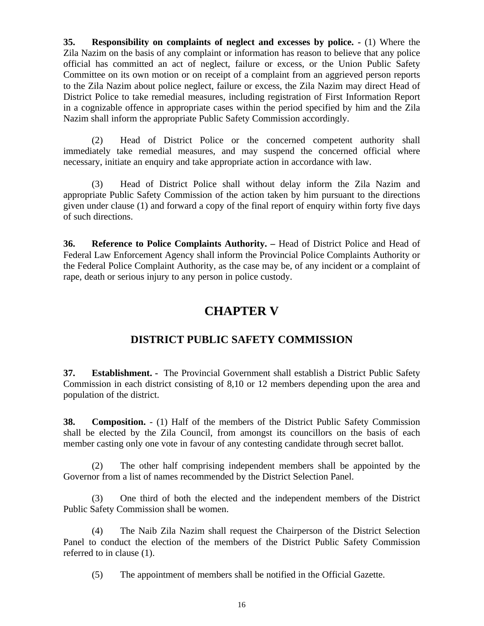**35. Responsibility on complaints of neglect and excesses by police. -** (1) Where the Zila Nazim on the basis of any complaint or information has reason to believe that any police official has committed an act of neglect, failure or excess, or the Union Public Safety Committee on its own motion or on receipt of a complaint from an aggrieved person reports to the Zila Nazim about police neglect, failure or excess, the Zila Nazim may direct Head of District Police to take remedial measures, including registration of First Information Report in a cognizable offence in appropriate cases within the period specified by him and the Zila Nazim shall inform the appropriate Public Safety Commission accordingly.

(2) Head of District Police or the concerned competent authority shall immediately take remedial measures, and may suspend the concerned official where necessary, initiate an enquiry and take appropriate action in accordance with law.

(3) Head of District Police shall without delay inform the Zila Nazim and appropriate Public Safety Commission of the action taken by him pursuant to the directions given under clause (1) and forward a copy of the final report of enquiry within forty five days of such directions.

**36. Reference to Police Complaints Authority. –** Head of District Police and Head of Federal Law Enforcement Agency shall inform the Provincial Police Complaints Authority or the Federal Police Complaint Authority, as the case may be, of any incident or a complaint of rape, death or serious injury to any person in police custody.

### **CHAPTER V**

### **DISTRICT PUBLIC SAFETY COMMISSION**

**37. Establishment. -** The Provincial Government shall establish a District Public Safety Commission in each district consisting of 8,10 or 12 members depending upon the area and population of the district.

**38. Composition.** - (1) Half of the members of the District Public Safety Commission shall be elected by the Zila Council, from amongst its councillors on the basis of each member casting only one vote in favour of any contesting candidate through secret ballot.

(2) The other half comprising independent members shall be appointed by the Governor from a list of names recommended by the District Selection Panel.

(3) One third of both the elected and the independent members of the District Public Safety Commission shall be women.

(4) The Naib Zila Nazim shall request the Chairperson of the District Selection Panel to conduct the election of the members of the District Public Safety Commission referred to in clause (1).

(5) The appointment of members shall be notified in the Official Gazette.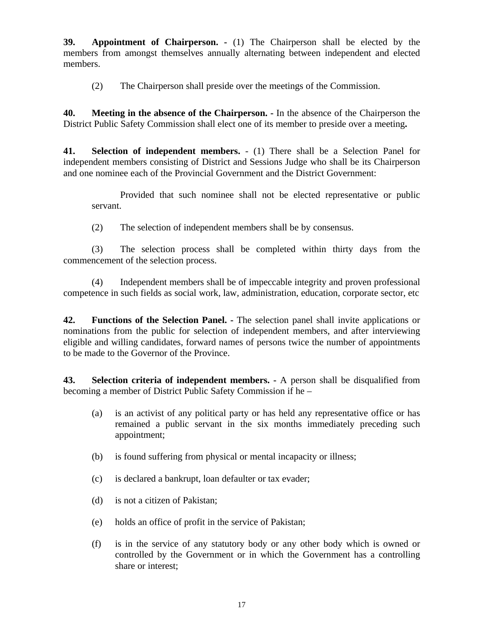**39. Appointment of Chairperson. -** (1) The Chairperson shall be elected by the members from amongst themselves annually alternating between independent and elected members.

(2) The Chairperson shall preside over the meetings of the Commission.

**40. Meeting in the absence of the Chairperson. -** In the absence of the Chairperson the District Public Safety Commission shall elect one of its member to preside over a meeting**.**

**41. Selection of independent members.** - (1) There shall be a Selection Panel for independent members consisting of District and Sessions Judge who shall be its Chairperson and one nominee each of the Provincial Government and the District Government:

Provided that such nominee shall not be elected representative or public servant.

(2) The selection of independent members shall be by consensus.

(3) The selection process shall be completed within thirty days from the commencement of the selection process.

(4) Independent members shall be of impeccable integrity and proven professional competence in such fields as social work, law, administration, education, corporate sector, etc

**42. Functions of the Selection Panel. -** The selection panel shall invite applications or nominations from the public for selection of independent members, and after interviewing eligible and willing candidates, forward names of persons twice the number of appointments to be made to the Governor of the Province.

**43. Selection criteria of independent members. -** A person shall be disqualified from becoming a member of District Public Safety Commission if he –

- (a) is an activist of any political party or has held any representative office or has remained a public servant in the six months immediately preceding such appointment;
- (b) is found suffering from physical or mental incapacity or illness;
- (c) is declared a bankrupt, loan defaulter or tax evader;
- (d) is not a citizen of Pakistan;
- (e) holds an office of profit in the service of Pakistan;
- (f) is in the service of any statutory body or any other body which is owned or controlled by the Government or in which the Government has a controlling share or interest;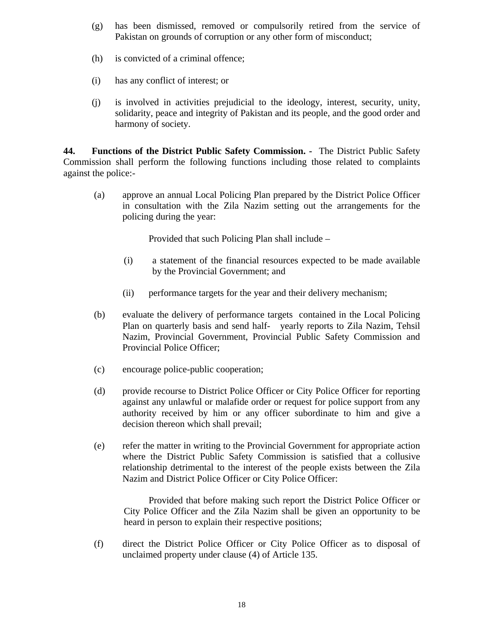- (g) has been dismissed, removed or compulsorily retired from the service of Pakistan on grounds of corruption or any other form of misconduct;
- (h) is convicted of a criminal offence;
- (i) has any conflict of interest; or
- (j) is involved in activities prejudicial to the ideology, interest, security, unity, solidarity, peace and integrity of Pakistan and its people, and the good order and harmony of society.

**44. Functions of the District Public Safety Commission. -** The District Public Safety Commission shall perform the following functions including those related to complaints against the police:-

(a) approve an annual Local Policing Plan prepared by the District Police Officer in consultation with the Zila Nazim setting out the arrangements for the policing during the year:

Provided that such Policing Plan shall include –

- (i) a statement of the financial resources expected to be made available by the Provincial Government; and
- (ii) performance targets for the year and their delivery mechanism;
- (b) evaluate the delivery of performance targets contained in the Local Policing Plan on quarterly basis and send half- yearly reports to Zila Nazim, Tehsil Nazim, Provincial Government, Provincial Public Safety Commission and Provincial Police Officer;
- (c) encourage police-public cooperation;
- (d) provide recourse to District Police Officer or City Police Officer for reporting against any unlawful or malafide order or request for police support from any authority received by him or any officer subordinate to him and give a decision thereon which shall prevail;
- (e) refer the matter in writing to the Provincial Government for appropriate action where the District Public Safety Commission is satisfied that a collusive relationship detrimental to the interest of the people exists between the Zila Nazim and District Police Officer or City Police Officer:

Provided that before making such report the District Police Officer or City Police Officer and the Zila Nazim shall be given an opportunity to be heard in person to explain their respective positions;

(f) direct the District Police Officer or City Police Officer as to disposal of unclaimed property under clause (4) of Article 135.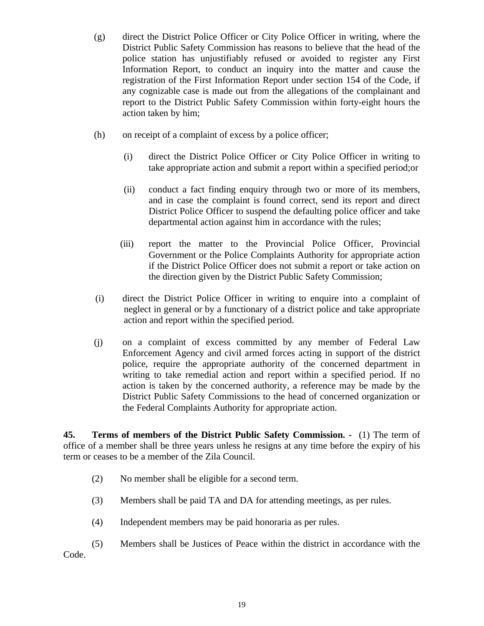- (g) direct the District Police Officer or City Police Officer in writing, where the District Public Safety Commission has reasons to believe that the head of the police station has unjustifiably refused or avoided to register any First Information Report, to conduct an inquiry into the matter and cause the registration of the First Information Report under section 154 of the Code, if any cognizable case is made out from the allegations of the complainant and report to the District Public Safety Commission within forty-eight hours the action taken by him;
- (h) on receipt of a complaint of excess by a police officer;
	- (i) direct the District Police Officer or City Police Officer in writing to take appropriate action and submit a report within a specified period;or
	- (ii) conduct a fact finding enquiry through two or more of its members, and in case the complaint is found correct, send its report and direct District Police Officer to suspend the defaulting police officer and take departmental action against him in accordance with the rules;
	- (iii) report the matter to the Provincial Police Officer, Provincial Government or the Police Complaints Authority for appropriate action if the District Police Officer does not submit a report or take action on the direction given by the District Public Safety Commission;
- (i) direct the District Police Officer in writing to enquire into a complaint of neglect in general or by a functionary of a district police and take appropriate action and report within the specified period.
- (j) on a complaint of excess committed by any member of Federal Law Enforcement Agency and civil armed forces acting in support of the district police, require the appropriate authority of the concerned department in writing to take remedial action and report within a specified period. If no action is taken by the concerned authority, a reference may be made by the District Public Safety Commissions to the head of concerned organization or the Federal Complaints Authority for appropriate action.

**45. Terms of members of the District Public Safety Commission. -** (1) The term of office of a member shall be three years unless he resigns at any time before the expiry of his term or ceases to be a member of the Zila Council.

- (2) No member shall be eligible for a second term.
- (3) Members shall be paid TA and DA for attending meetings, as per rules.
- (4) Independent members may be paid honoraria as per rules.
- (5) Members shall be Justices of Peace within the district in accordance with the Code.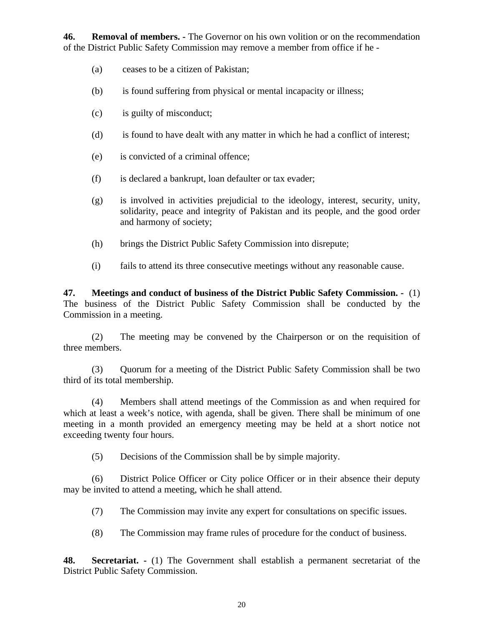**46. Removal of members. -** The Governor on his own volition or on the recommendation of the District Public Safety Commission may remove a member from office if he -

- (a) ceases to be a citizen of Pakistan;
- (b) is found suffering from physical or mental incapacity or illness;
- (c) is guilty of misconduct;
- (d) is found to have dealt with any matter in which he had a conflict of interest;
- (e) is convicted of a criminal offence;
- (f) is declared a bankrupt, loan defaulter or tax evader;
- (g) is involved in activities prejudicial to the ideology, interest, security, unity, solidarity, peace and integrity of Pakistan and its people, and the good order and harmony of society;
- (h) brings the District Public Safety Commission into disrepute;
- (i) fails to attend its three consecutive meetings without any reasonable cause.

**47. Meetings and conduct of business of the District Public Safety Commission. -** (1) The business of the District Public Safety Commission shall be conducted by the Commission in a meeting.

(2) The meeting may be convened by the Chairperson or on the requisition of three members.

(3) Quorum for a meeting of the District Public Safety Commission shall be two third of its total membership.

(4) Members shall attend meetings of the Commission as and when required for which at least a week's notice, with agenda, shall be given. There shall be minimum of one meeting in a month provided an emergency meeting may be held at a short notice not exceeding twenty four hours.

(5) Decisions of the Commission shall be by simple majority.

(6) District Police Officer or City police Officer or in their absence their deputy may be invited to attend a meeting, which he shall attend.

(7) The Commission may invite any expert for consultations on specific issues.

(8) The Commission may frame rules of procedure for the conduct of business.

**48. Secretariat. -** (1) The Government shall establish a permanent secretariat of the District Public Safety Commission.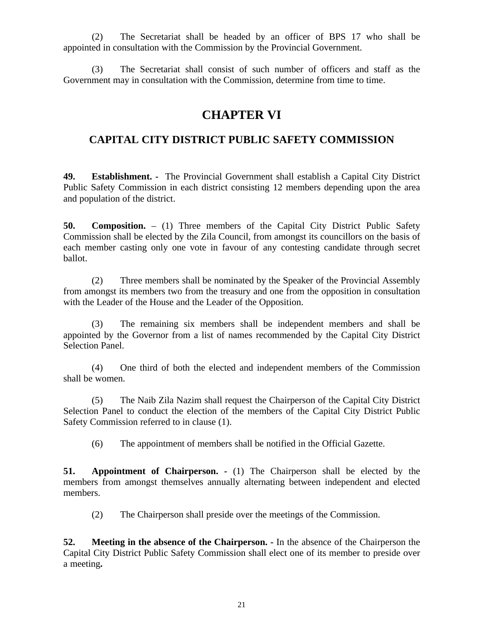(2) The Secretariat shall be headed by an officer of BPS 17 who shall be appointed in consultation with the Commission by the Provincial Government.

(3) The Secretariat shall consist of such number of officers and staff as the Government may in consultation with the Commission, determine from time to time.

## **CHAPTER VI**

### **CAPITAL CITY DISTRICT PUBLIC SAFETY COMMISSION**

**49. Establishment. -** The Provincial Government shall establish a Capital City District Public Safety Commission in each district consisting 12 members depending upon the area and population of the district.

**50. Composition.** – (1) Three members of the Capital City District Public Safety Commission shall be elected by the Zila Council, from amongst its councillors on the basis of each member casting only one vote in favour of any contesting candidate through secret ballot.

(2) Three members shall be nominated by the Speaker of the Provincial Assembly from amongst its members two from the treasury and one from the opposition in consultation with the Leader of the House and the Leader of the Opposition.

(3) The remaining six members shall be independent members and shall be appointed by the Governor from a list of names recommended by the Capital City District Selection Panel.

(4) One third of both the elected and independent members of the Commission shall be women.

(5) The Naib Zila Nazim shall request the Chairperson of the Capital City District Selection Panel to conduct the election of the members of the Capital City District Public Safety Commission referred to in clause (1).

(6) The appointment of members shall be notified in the Official Gazette.

**51. Appointment of Chairperson. -** (1) The Chairperson shall be elected by the members from amongst themselves annually alternating between independent and elected members.

(2) The Chairperson shall preside over the meetings of the Commission.

**52. Meeting in the absence of the Chairperson. -** In the absence of the Chairperson the Capital City District Public Safety Commission shall elect one of its member to preside over a meeting**.**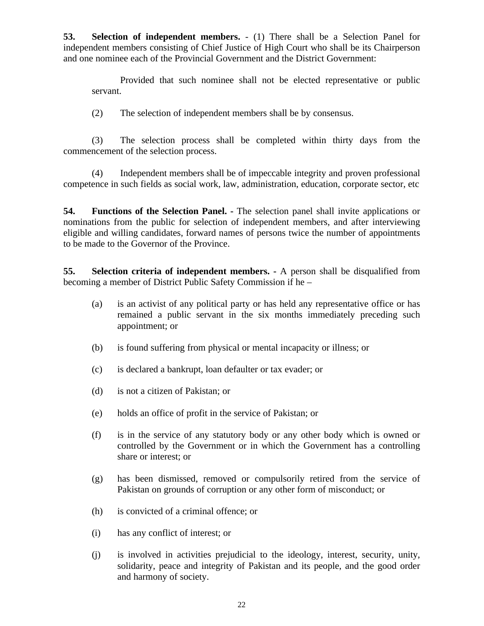**53. Selection of independent members.** - (1) There shall be a Selection Panel for independent members consisting of Chief Justice of High Court who shall be its Chairperson and one nominee each of the Provincial Government and the District Government:

Provided that such nominee shall not be elected representative or public servant.

(2) The selection of independent members shall be by consensus.

(3) The selection process shall be completed within thirty days from the commencement of the selection process.

(4) Independent members shall be of impeccable integrity and proven professional competence in such fields as social work, law, administration, education, corporate sector, etc

**54. Functions of the Selection Panel. -** The selection panel shall invite applications or nominations from the public for selection of independent members, and after interviewing eligible and willing candidates, forward names of persons twice the number of appointments to be made to the Governor of the Province.

**55. Selection criteria of independent members. -** A person shall be disqualified from becoming a member of District Public Safety Commission if he –

- (a) is an activist of any political party or has held any representative office or has remained a public servant in the six months immediately preceding such appointment; or
- (b) is found suffering from physical or mental incapacity or illness; or
- (c) is declared a bankrupt, loan defaulter or tax evader; or
- (d) is not a citizen of Pakistan; or
- (e) holds an office of profit in the service of Pakistan; or
- (f) is in the service of any statutory body or any other body which is owned or controlled by the Government or in which the Government has a controlling share or interest; or
- (g) has been dismissed, removed or compulsorily retired from the service of Pakistan on grounds of corruption or any other form of misconduct; or
- (h) is convicted of a criminal offence; or
- (i) has any conflict of interest; or
- (j) is involved in activities prejudicial to the ideology, interest, security, unity, solidarity, peace and integrity of Pakistan and its people, and the good order and harmony of society.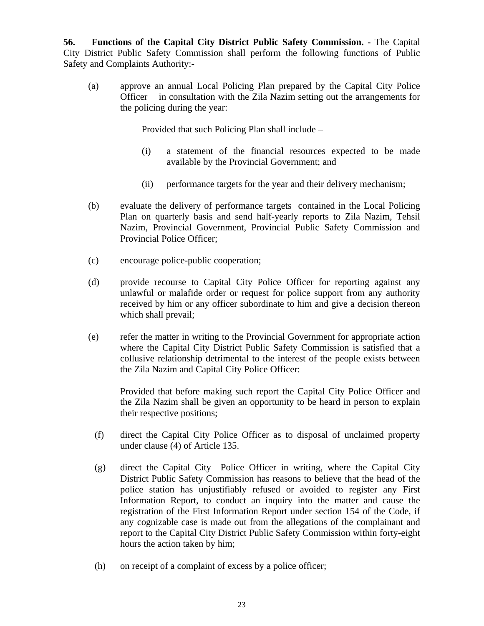**56. Functions of the Capital City District Public Safety Commission. -** The Capital City District Public Safety Commission shall perform the following functions of Public Safety and Complaints Authority:-

(a) approve an annual Local Policing Plan prepared by the Capital City Police Officer in consultation with the Zila Nazim setting out the arrangements for the policing during the year:

Provided that such Policing Plan shall include –

- (i) a statement of the financial resources expected to be made available by the Provincial Government; and
- (ii) performance targets for the year and their delivery mechanism;
- (b) evaluate the delivery of performance targets contained in the Local Policing Plan on quarterly basis and send half-yearly reports to Zila Nazim, Tehsil Nazim, Provincial Government, Provincial Public Safety Commission and Provincial Police Officer;
- (c) encourage police-public cooperation;
- (d) provide recourse to Capital City Police Officer for reporting against any unlawful or malafide order or request for police support from any authority received by him or any officer subordinate to him and give a decision thereon which shall prevail;
- (e) refer the matter in writing to the Provincial Government for appropriate action where the Capital City District Public Safety Commission is satisfied that a collusive relationship detrimental to the interest of the people exists between the Zila Nazim and Capital City Police Officer:

Provided that before making such report the Capital City Police Officer and the Zila Nazim shall be given an opportunity to be heard in person to explain their respective positions;

- (f) direct the Capital City Police Officer as to disposal of unclaimed property under clause (4) of Article 135.
- (g) direct the Capital City Police Officer in writing, where the Capital City District Public Safety Commission has reasons to believe that the head of the police station has unjustifiably refused or avoided to register any First Information Report, to conduct an inquiry into the matter and cause the registration of the First Information Report under section 154 of the Code, if any cognizable case is made out from the allegations of the complainant and report to the Capital City District Public Safety Commission within forty-eight hours the action taken by him;
- (h) on receipt of a complaint of excess by a police officer;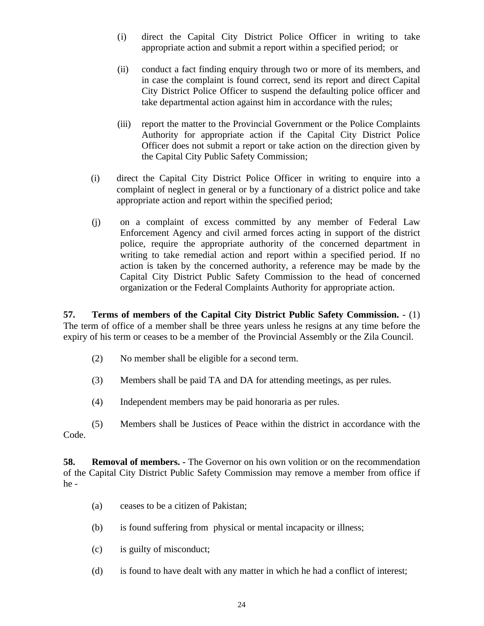- (i) direct the Capital City District Police Officer in writing to take appropriate action and submit a report within a specified period; or
- (ii) conduct a fact finding enquiry through two or more of its members, and in case the complaint is found correct, send its report and direct Capital City District Police Officer to suspend the defaulting police officer and take departmental action against him in accordance with the rules;
- (iii) report the matter to the Provincial Government or the Police Complaints Authority for appropriate action if the Capital City District Police Officer does not submit a report or take action on the direction given by the Capital City Public Safety Commission;
- (i) direct the Capital City District Police Officer in writing to enquire into a complaint of neglect in general or by a functionary of a district police and take appropriate action and report within the specified period;
- (j) on a complaint of excess committed by any member of Federal Law Enforcement Agency and civil armed forces acting in support of the district police, require the appropriate authority of the concerned department in writing to take remedial action and report within a specified period. If no action is taken by the concerned authority, a reference may be made by the Capital City District Public Safety Commission to the head of concerned organization or the Federal Complaints Authority for appropriate action.

**57. Terms of members of the Capital City District Public Safety Commission. -** (1) The term of office of a member shall be three years unless he resigns at any time before the expiry of his term or ceases to be a member of the Provincial Assembly or the Zila Council.

- (2) No member shall be eligible for a second term.
- (3) Members shall be paid TA and DA for attending meetings, as per rules.
- (4) Independent members may be paid honoraria as per rules.
- (5) Members shall be Justices of Peace within the district in accordance with the Code.

**58. Removal of members. -** The Governor on his own volition or on the recommendation of the Capital City District Public Safety Commission may remove a member from office if he -

- (a) ceases to be a citizen of Pakistan;
- (b) is found suffering from physical or mental incapacity or illness;
- (c) is guilty of misconduct;
- (d) is found to have dealt with any matter in which he had a conflict of interest;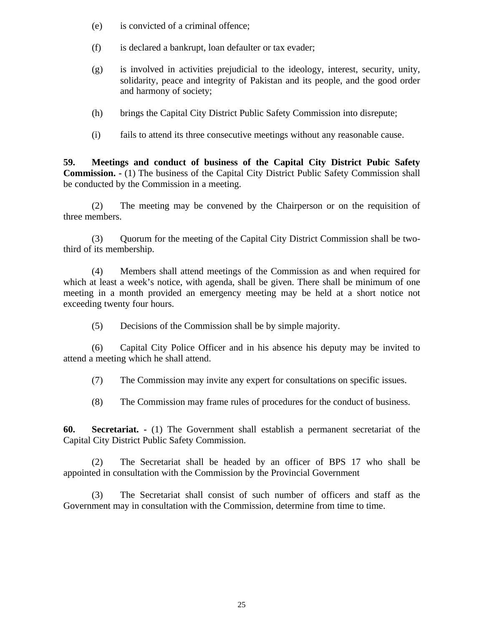- (e) is convicted of a criminal offence;
- (f) is declared a bankrupt, loan defaulter or tax evader;
- (g) is involved in activities prejudicial to the ideology, interest, security, unity, solidarity, peace and integrity of Pakistan and its people, and the good order and harmony of society;
- (h) brings the Capital City District Public Safety Commission into disrepute;
- (i) fails to attend its three consecutive meetings without any reasonable cause.

**59. Meetings and conduct of business of the Capital City District Pubic Safety Commission. -** (1) The business of the Capital City District Public Safety Commission shall be conducted by the Commission in a meeting.

(2) The meeting may be convened by the Chairperson or on the requisition of three members.

(3) Quorum for the meeting of the Capital City District Commission shall be twothird of its membership.

(4) Members shall attend meetings of the Commission as and when required for which at least a week's notice, with agenda, shall be given. There shall be minimum of one meeting in a month provided an emergency meeting may be held at a short notice not exceeding twenty four hours.

(5) Decisions of the Commission shall be by simple majority.

(6) Capital City Police Officer and in his absence his deputy may be invited to attend a meeting which he shall attend.

(7) The Commission may invite any expert for consultations on specific issues.

(8) The Commission may frame rules of procedures for the conduct of business.

**60. Secretariat. -** (1) The Government shall establish a permanent secretariat of the Capital City District Public Safety Commission.

(2) The Secretariat shall be headed by an officer of BPS 17 who shall be appointed in consultation with the Commission by the Provincial Government

(3) The Secretariat shall consist of such number of officers and staff as the Government may in consultation with the Commission, determine from time to time.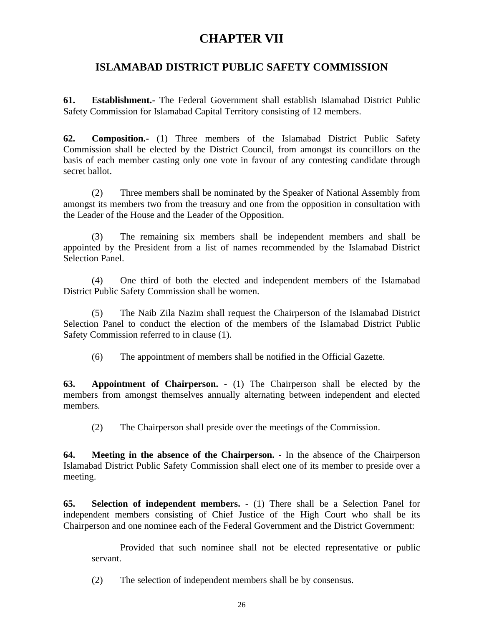# **CHAPTER VII**

### **ISLAMABAD DISTRICT PUBLIC SAFETY COMMISSION**

**61. Establishment.-** The Federal Government shall establish Islamabad District Public Safety Commission for Islamabad Capital Territory consisting of 12 members.

**62. Composition.-** (1) Three members of the Islamabad District Public Safety Commission shall be elected by the District Council, from amongst its councillors on the basis of each member casting only one vote in favour of any contesting candidate through secret ballot.

(2) Three members shall be nominated by the Speaker of National Assembly from amongst its members two from the treasury and one from the opposition in consultation with the Leader of the House and the Leader of the Opposition.

(3) The remaining six members shall be independent members and shall be appointed by the President from a list of names recommended by the Islamabad District Selection Panel.

(4) One third of both the elected and independent members of the Islamabad District Public Safety Commission shall be women.

(5) The Naib Zila Nazim shall request the Chairperson of the Islamabad District Selection Panel to conduct the election of the members of the Islamabad District Public Safety Commission referred to in clause (1).

(6) The appointment of members shall be notified in the Official Gazette.

**63. Appointment of Chairperson. -** (1) The Chairperson shall be elected by the members from amongst themselves annually alternating between independent and elected members*.*

(2) The Chairperson shall preside over the meetings of the Commission.

**64. Meeting in the absence of the Chairperson. -** In the absence of the Chairperson Islamabad District Public Safety Commission shall elect one of its member to preside over a meeting.

**65. Selection of independent members.** - (1) There shall be a Selection Panel for independent members consisting of Chief Justice of the High Court who shall be its Chairperson and one nominee each of the Federal Government and the District Government:

Provided that such nominee shall not be elected representative or public servant.

(2) The selection of independent members shall be by consensus.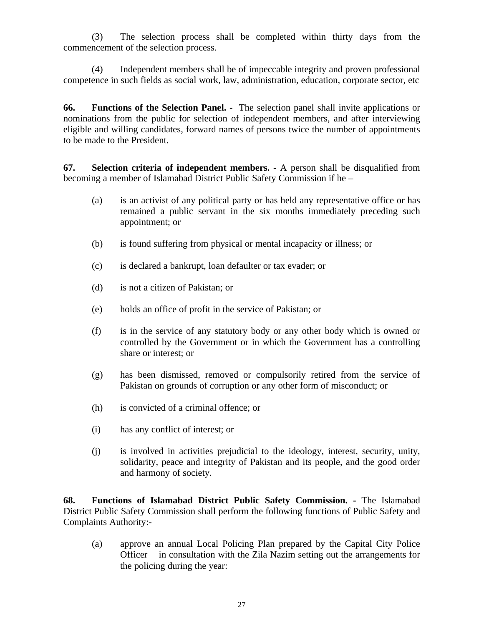(3) The selection process shall be completed within thirty days from the commencement of the selection process.

(4) Independent members shall be of impeccable integrity and proven professional competence in such fields as social work, law, administration, education, corporate sector, etc

**66. Functions of the Selection Panel. -** The selection panel shall invite applications or nominations from the public for selection of independent members, and after interviewing eligible and willing candidates, forward names of persons twice the number of appointments to be made to the President.

**67. Selection criteria of independent members. -** A person shall be disqualified from becoming a member of Islamabad District Public Safety Commission if he –

- (a) is an activist of any political party or has held any representative office or has remained a public servant in the six months immediately preceding such appointment; or
- (b) is found suffering from physical or mental incapacity or illness; or
- (c) is declared a bankrupt, loan defaulter or tax evader; or
- (d) is not a citizen of Pakistan; or
- (e) holds an office of profit in the service of Pakistan; or
- (f) is in the service of any statutory body or any other body which is owned or controlled by the Government or in which the Government has a controlling share or interest; or
- (g) has been dismissed, removed or compulsorily retired from the service of Pakistan on grounds of corruption or any other form of misconduct; or
- (h) is convicted of a criminal offence; or
- (i) has any conflict of interest; or
- (j) is involved in activities prejudicial to the ideology, interest, security, unity, solidarity, peace and integrity of Pakistan and its people, and the good order and harmony of society.

**68. Functions of Islamabad District Public Safety Commission. -** The Islamabad District Public Safety Commission shall perform the following functions of Public Safety and Complaints Authority:-

(a) approve an annual Local Policing Plan prepared by the Capital City Police Officer in consultation with the Zila Nazim setting out the arrangements for the policing during the year: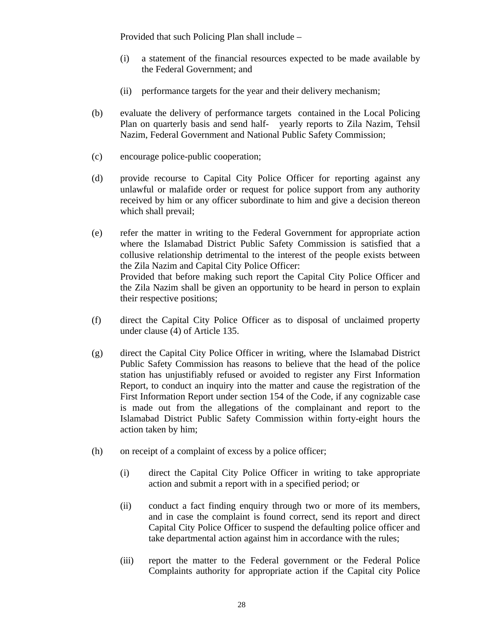Provided that such Policing Plan shall include –

- (i) a statement of the financial resources expected to be made available by the Federal Government; and
- (ii) performance targets for the year and their delivery mechanism;
- (b) evaluate the delivery of performance targets contained in the Local Policing Plan on quarterly basis and send half- yearly reports to Zila Nazim, Tehsil Nazim, Federal Government and National Public Safety Commission;
- (c) encourage police-public cooperation;
- (d) provide recourse to Capital City Police Officer for reporting against any unlawful or malafide order or request for police support from any authority received by him or any officer subordinate to him and give a decision thereon which shall prevail;
- (e) refer the matter in writing to the Federal Government for appropriate action where the Islamabad District Public Safety Commission is satisfied that a collusive relationship detrimental to the interest of the people exists between the Zila Nazim and Capital City Police Officer: Provided that before making such report the Capital City Police Officer and the Zila Nazim shall be given an opportunity to be heard in person to explain their respective positions;
- (f) direct the Capital City Police Officer as to disposal of unclaimed property under clause (4) of Article 135.
- (g) direct the Capital City Police Officer in writing, where the Islamabad District Public Safety Commission has reasons to believe that the head of the police station has unjustifiably refused or avoided to register any First Information Report, to conduct an inquiry into the matter and cause the registration of the First Information Report under section 154 of the Code, if any cognizable case is made out from the allegations of the complainant and report to the Islamabad District Public Safety Commission within forty-eight hours the action taken by him;
- (h) on receipt of a complaint of excess by a police officer;
	- (i) direct the Capital City Police Officer in writing to take appropriate action and submit a report with in a specified period; or
	- (ii) conduct a fact finding enquiry through two or more of its members, and in case the complaint is found correct, send its report and direct Capital City Police Officer to suspend the defaulting police officer and take departmental action against him in accordance with the rules;
	- (iii) report the matter to the Federal government or the Federal Police Complaints authority for appropriate action if the Capital city Police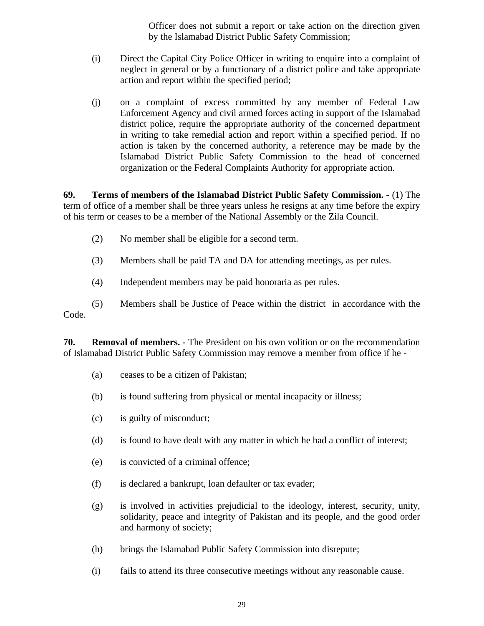Officer does not submit a report or take action on the direction given by the Islamabad District Public Safety Commission;

- (i) Direct the Capital City Police Officer in writing to enquire into a complaint of neglect in general or by a functionary of a district police and take appropriate action and report within the specified period;
- (j) on a complaint of excess committed by any member of Federal Law Enforcement Agency and civil armed forces acting in support of the Islamabad district police, require the appropriate authority of the concerned department in writing to take remedial action and report within a specified period. If no action is taken by the concerned authority, a reference may be made by the Islamabad District Public Safety Commission to the head of concerned organization or the Federal Complaints Authority for appropriate action.

**69. Terms of members of the Islamabad District Public Safety Commission. -** (1) The term of office of a member shall be three years unless he resigns at any time before the expiry of his term or ceases to be a member of the National Assembly or the Zila Council.

- (2) No member shall be eligible for a second term.
- (3) Members shall be paid TA and DA for attending meetings, as per rules.
- (4) Independent members may be paid honoraria as per rules.

(5) Members shall be Justice of Peace within the district in accordance with the Code.

**70. Removal of members. -** The President on his own volition or on the recommendation of Islamabad District Public Safety Commission may remove a member from office if he -

- (a) ceases to be a citizen of Pakistan;
- (b) is found suffering from physical or mental incapacity or illness;
- (c) is guilty of misconduct;
- (d) is found to have dealt with any matter in which he had a conflict of interest;
- (e) is convicted of a criminal offence;
- (f) is declared a bankrupt, loan defaulter or tax evader;
- (g) is involved in activities prejudicial to the ideology, interest, security, unity, solidarity, peace and integrity of Pakistan and its people, and the good order and harmony of society;
- (h) brings the Islamabad Public Safety Commission into disrepute;
- (i) fails to attend its three consecutive meetings without any reasonable cause.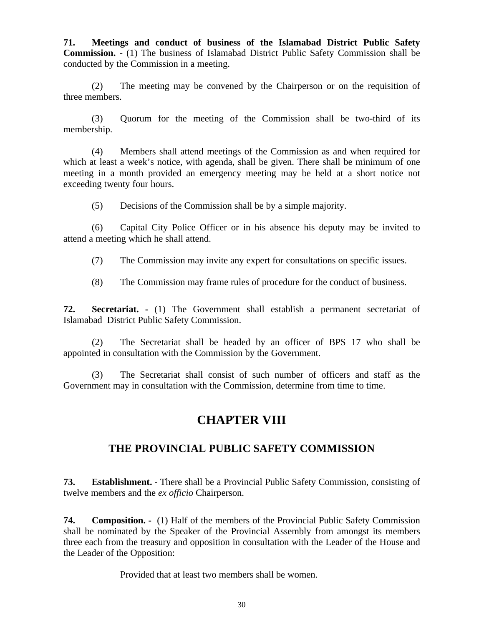**71. Meetings and conduct of business of the Islamabad District Public Safety Commission. -** (1) The business of Islamabad District Public Safety Commission shall be conducted by the Commission in a meeting.

(2) The meeting may be convened by the Chairperson or on the requisition of three members.

(3) Quorum for the meeting of the Commission shall be two-third of its membership.

(4) Members shall attend meetings of the Commission as and when required for which at least a week's notice, with agenda, shall be given. There shall be minimum of one meeting in a month provided an emergency meeting may be held at a short notice not exceeding twenty four hours.

(5) Decisions of the Commission shall be by a simple majority.

(6) Capital City Police Officer or in his absence his deputy may be invited to attend a meeting which he shall attend.

(7) The Commission may invite any expert for consultations on specific issues.

(8) The Commission may frame rules of procedure for the conduct of business.

**72. Secretariat. -** (1) The Government shall establish a permanent secretariat of Islamabad District Public Safety Commission.

(2) The Secretariat shall be headed by an officer of BPS 17 who shall be appointed in consultation with the Commission by the Government.

(3) The Secretariat shall consist of such number of officers and staff as the Government may in consultation with the Commission, determine from time to time.

# **CHAPTER VIII**

### **THE PROVINCIAL PUBLIC SAFETY COMMISSION**

**73. Establishment. -** There shall be a Provincial Public Safety Commission, consisting of twelve members and the *ex officio* Chairperson.

**74. Composition. -** (1) Half of the members of the Provincial Public Safety Commission shall be nominated by the Speaker of the Provincial Assembly from amongst its members three each from the treasury and opposition in consultation with the Leader of the House and the Leader of the Opposition:

Provided that at least two members shall be women.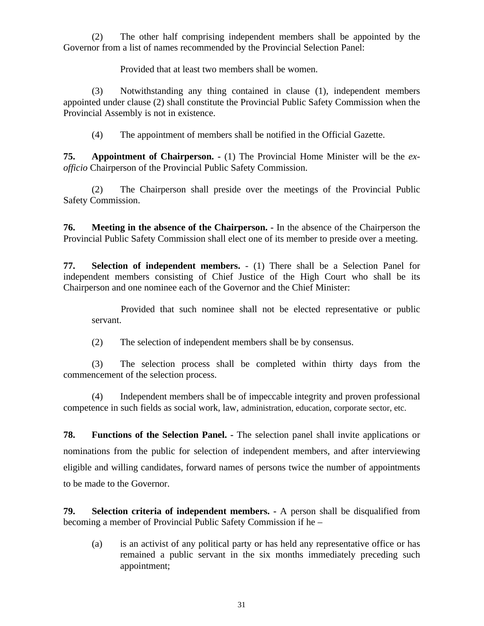(2) The other half comprising independent members shall be appointed by the Governor from a list of names recommended by the Provincial Selection Panel:

Provided that at least two members shall be women.

(3) Notwithstanding any thing contained in clause (1), independent members appointed under clause (2) shall constitute the Provincial Public Safety Commission when the Provincial Assembly is not in existence.

(4) The appointment of members shall be notified in the Official Gazette.

**75. Appointment of Chairperson. -** (1) The Provincial Home Minister will be the *exofficio* Chairperson of the Provincial Public Safety Commission.

(2) The Chairperson shall preside over the meetings of the Provincial Public Safety Commission.

**76. Meeting in the absence of the Chairperson. -** In the absence of the Chairperson the Provincial Public Safety Commission shall elect one of its member to preside over a meeting.

**77. Selection of independent members.** - (1) There shall be a Selection Panel for independent members consisting of Chief Justice of the High Court who shall be its Chairperson and one nominee each of the Governor and the Chief Minister:

Provided that such nominee shall not be elected representative or public servant.

(2) The selection of independent members shall be by consensus.

(3) The selection process shall be completed within thirty days from the commencement of the selection process.

(4) Independent members shall be of impeccable integrity and proven professional competence in such fields as social work, law, administration, education, corporate sector, etc.

**78. Functions of the Selection Panel. -** The selection panel shall invite applications or nominations from the public for selection of independent members, and after interviewing eligible and willing candidates, forward names of persons twice the number of appointments to be made to the Governor.

**79. Selection criteria of independent members. -** A person shall be disqualified from becoming a member of Provincial Public Safety Commission if he –

(a) is an activist of any political party or has held any representative office or has remained a public servant in the six months immediately preceding such appointment;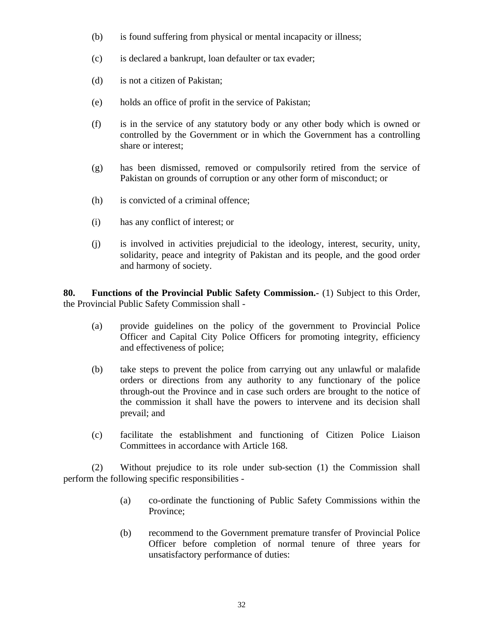- (b) is found suffering from physical or mental incapacity or illness;
- (c) is declared a bankrupt, loan defaulter or tax evader;
- (d) is not a citizen of Pakistan;
- (e) holds an office of profit in the service of Pakistan;
- (f) is in the service of any statutory body or any other body which is owned or controlled by the Government or in which the Government has a controlling share or interest;
- (g) has been dismissed, removed or compulsorily retired from the service of Pakistan on grounds of corruption or any other form of misconduct; or
- (h) is convicted of a criminal offence;
- (i) has any conflict of interest; or
- (j) is involved in activities prejudicial to the ideology, interest, security, unity, solidarity, peace and integrity of Pakistan and its people, and the good order and harmony of society.

**80. Functions of the Provincial Public Safety Commission.-** (1) Subject to this Order, the Provincial Public Safety Commission shall -

- (a) provide guidelines on the policy of the government to Provincial Police Officer and Capital City Police Officers for promoting integrity, efficiency and effectiveness of police;
- (b) take steps to prevent the police from carrying out any unlawful or malafide orders or directions from any authority to any functionary of the police through-out the Province and in case such orders are brought to the notice of the commission it shall have the powers to intervene and its decision shall prevail; and
- (c) facilitate the establishment and functioning of Citizen Police Liaison Committees in accordance with Article 168.

(2) Without prejudice to its role under sub-section (1) the Commission shall perform the following specific responsibilities -

- (a) co-ordinate the functioning of Public Safety Commissions within the Province;
- (b) recommend to the Government premature transfer of Provincial Police Officer before completion of normal tenure of three years for unsatisfactory performance of duties: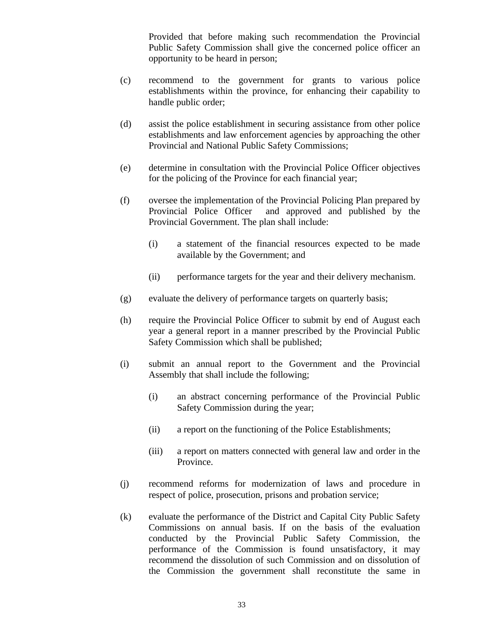Provided that before making such recommendation the Provincial Public Safety Commission shall give the concerned police officer an opportunity to be heard in person;

- (c) recommend to the government for grants to various police establishments within the province, for enhancing their capability to handle public order;
- (d) assist the police establishment in securing assistance from other police establishments and law enforcement agencies by approaching the other Provincial and National Public Safety Commissions;
- (e) determine in consultation with the Provincial Police Officer objectives for the policing of the Province for each financial year;
- (f) oversee the implementation of the Provincial Policing Plan prepared by Provincial Police Officer and approved and published by the Provincial Government. The plan shall include:
	- (i) a statement of the financial resources expected to be made available by the Government; and
	- (ii) performance targets for the year and their delivery mechanism.
- (g) evaluate the delivery of performance targets on quarterly basis;
- (h) require the Provincial Police Officer to submit by end of August each year a general report in a manner prescribed by the Provincial Public Safety Commission which shall be published;
- (i) submit an annual report to the Government and the Provincial Assembly that shall include the following;
	- (i) an abstract concerning performance of the Provincial Public Safety Commission during the year;
	- (ii) a report on the functioning of the Police Establishments;
	- (iii) a report on matters connected with general law and order in the Province.
- (j) recommend reforms for modernization of laws and procedure in respect of police, prosecution, prisons and probation service;
- (k) evaluate the performance of the District and Capital City Public Safety Commissions on annual basis. If on the basis of the evaluation conducted by the Provincial Public Safety Commission, the performance of the Commission is found unsatisfactory, it may recommend the dissolution of such Commission and on dissolution of the Commission the government shall reconstitute the same in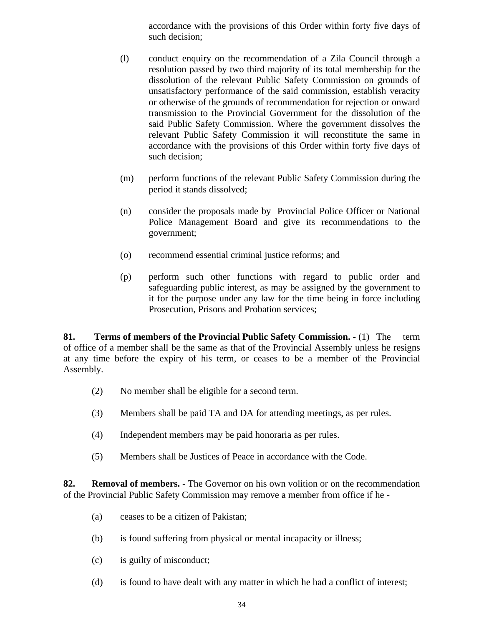accordance with the provisions of this Order within forty five days of such decision;

- (l) conduct enquiry on the recommendation of a Zila Council through a resolution passed by two third majority of its total membership for the dissolution of the relevant Public Safety Commission on grounds of unsatisfactory performance of the said commission, establish veracity or otherwise of the grounds of recommendation for rejection or onward transmission to the Provincial Government for the dissolution of the said Public Safety Commission. Where the government dissolves the relevant Public Safety Commission it will reconstitute the same in accordance with the provisions of this Order within forty five days of such decision;
- (m) perform functions of the relevant Public Safety Commission during the period it stands dissolved;
- (n) consider the proposals made by Provincial Police Officer or National Police Management Board and give its recommendations to the government;
- (o) recommend essential criminal justice reforms; and
- (p) perform such other functions with regard to public order and safeguarding public interest, as may be assigned by the government to it for the purpose under any law for the time being in force including Prosecution, Prisons and Probation services;

**81. Terms of members of the Provincial Public Safety Commission. -** (1) The term of office of a member shall be the same as that of the Provincial Assembly unless he resigns at any time before the expiry of his term, or ceases to be a member of the Provincial Assembly.

- (2) No member shall be eligible for a second term.
- (3) Members shall be paid TA and DA for attending meetings, as per rules.
- (4) Independent members may be paid honoraria as per rules.
- (5) Members shall be Justices of Peace in accordance with the Code.

**82. Removal of members. -** The Governor on his own volition or on the recommendation of the Provincial Public Safety Commission may remove a member from office if he -

- (a) ceases to be a citizen of Pakistan;
- (b) is found suffering from physical or mental incapacity or illness;
- (c) is guilty of misconduct;
- (d) is found to have dealt with any matter in which he had a conflict of interest;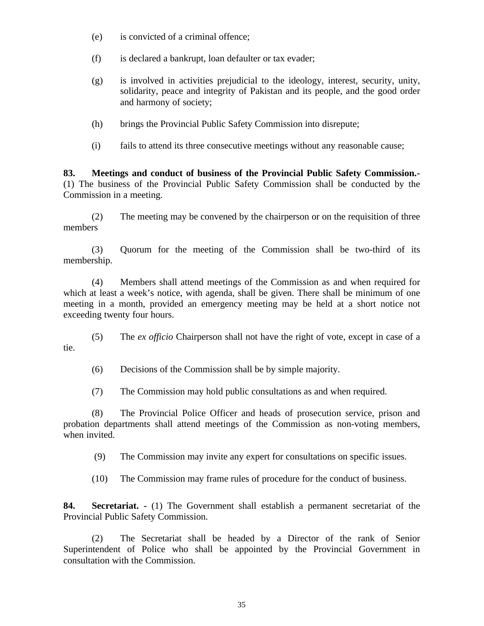- (e) is convicted of a criminal offence;
- (f) is declared a bankrupt, loan defaulter or tax evader;
- (g) is involved in activities prejudicial to the ideology, interest, security, unity, solidarity, peace and integrity of Pakistan and its people, and the good order and harmony of society;
- (h) brings the Provincial Public Safety Commission into disrepute;
- (i) fails to attend its three consecutive meetings without any reasonable cause;

**83. Meetings and conduct of business of the Provincial Public Safety Commission.-** (1) The business of the Provincial Public Safety Commission shall be conducted by the Commission in a meeting.

(2) The meeting may be convened by the chairperson or on the requisition of three members

(3) Quorum for the meeting of the Commission shall be two-third of its membership.

(4) Members shall attend meetings of the Commission as and when required for which at least a week's notice, with agenda, shall be given. There shall be minimum of one meeting in a month, provided an emergency meeting may be held at a short notice not exceeding twenty four hours.

(5) The *ex officio* Chairperson shall not have the right of vote, except in case of a tie.

(6) Decisions of the Commission shall be by simple majority.

(7) The Commission may hold public consultations as and when required.

(8) The Provincial Police Officer and heads of prosecution service, prison and probation departments shall attend meetings of the Commission as non-voting members, when invited.

(9) The Commission may invite any expert for consultations on specific issues.

(10) The Commission may frame rules of procedure for the conduct of business.

**84. Secretariat. -** (1) The Government shall establish a permanent secretariat of the Provincial Public Safety Commission.

(2) The Secretariat shall be headed by a Director of the rank of Senior Superintendent of Police who shall be appointed by the Provincial Government in consultation with the Commission.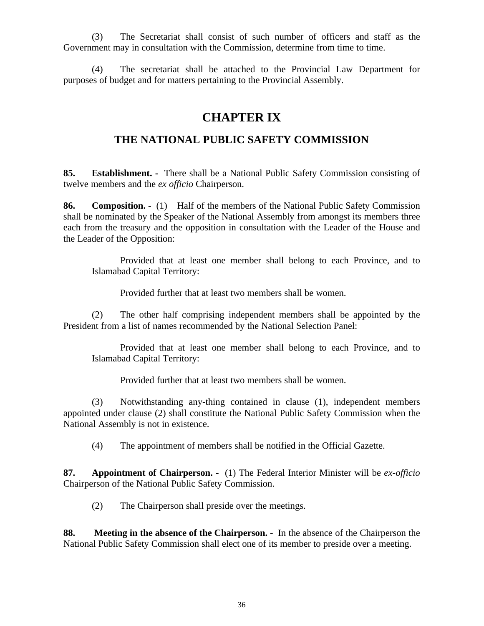(3) The Secretariat shall consist of such number of officers and staff as the Government may in consultation with the Commission, determine from time to time.

(4) The secretariat shall be attached to the Provincial Law Department for purposes of budget and for matters pertaining to the Provincial Assembly.

# **CHAPTER IX**

### **THE NATIONAL PUBLIC SAFETY COMMISSION**

**85. Establishment. -** There shall be a National Public Safety Commission consisting of twelve members and the *ex officio* Chairperson.

**86. Composition. -** (1) Half of the members of the National Public Safety Commission shall be nominated by the Speaker of the National Assembly from amongst its members three each from the treasury and the opposition in consultation with the Leader of the House and the Leader of the Opposition:

Provided that at least one member shall belong to each Province, and to Islamabad Capital Territory:

Provided further that at least two members shall be women.

(2) The other half comprising independent members shall be appointed by the President from a list of names recommended by the National Selection Panel:

Provided that at least one member shall belong to each Province, and to Islamabad Capital Territory:

Provided further that at least two members shall be women.

(3) Notwithstanding any-thing contained in clause (1), independent members appointed under clause (2) shall constitute the National Public Safety Commission when the National Assembly is not in existence.

(4) The appointment of members shall be notified in the Official Gazette.

**87. Appointment of Chairperson. -** (1) The Federal Interior Minister will be *ex-officio* Chairperson of the National Public Safety Commission.

(2) The Chairperson shall preside over the meetings.

**88. Meeting in the absence of the Chairperson. -** In the absence of the Chairperson the National Public Safety Commission shall elect one of its member to preside over a meeting.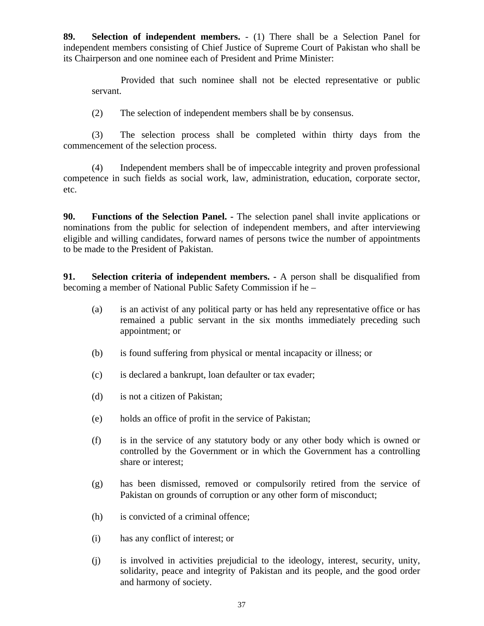**89. Selection of independent members.** - (1) There shall be a Selection Panel for independent members consisting of Chief Justice of Supreme Court of Pakistan who shall be its Chairperson and one nominee each of President and Prime Minister:

Provided that such nominee shall not be elected representative or public servant.

(2) The selection of independent members shall be by consensus.

(3) The selection process shall be completed within thirty days from the commencement of the selection process.

(4) Independent members shall be of impeccable integrity and proven professional competence in such fields as social work, law, administration, education, corporate sector, etc.

**90. Functions of the Selection Panel. -** The selection panel shall invite applications or nominations from the public for selection of independent members, and after interviewing eligible and willing candidates, forward names of persons twice the number of appointments to be made to the President of Pakistan.

**91. Selection criteria of independent members. -** A person shall be disqualified from becoming a member of National Public Safety Commission if he –

- (a) is an activist of any political party or has held any representative office or has remained a public servant in the six months immediately preceding such appointment; or
- (b) is found suffering from physical or mental incapacity or illness; or
- (c) is declared a bankrupt, loan defaulter or tax evader;
- (d) is not a citizen of Pakistan;
- (e) holds an office of profit in the service of Pakistan;
- (f) is in the service of any statutory body or any other body which is owned or controlled by the Government or in which the Government has a controlling share or interest;
- (g) has been dismissed, removed or compulsorily retired from the service of Pakistan on grounds of corruption or any other form of misconduct;
- (h) is convicted of a criminal offence;
- (i) has any conflict of interest; or
- (j) is involved in activities prejudicial to the ideology, interest, security, unity, solidarity, peace and integrity of Pakistan and its people, and the good order and harmony of society.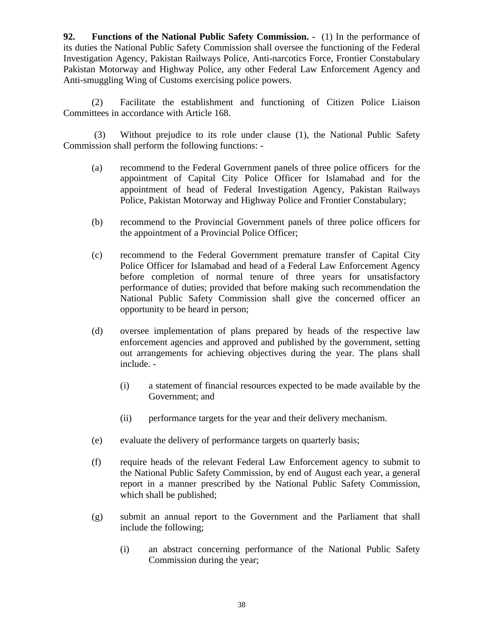**92. Functions of the National Public Safety Commission. -** (1) In the performance of its duties the National Public Safety Commission shall oversee the functioning of the Federal Investigation Agency, Pakistan Railways Police, Anti-narcotics Force, Frontier Constabulary Pakistan Motorway and Highway Police, any other Federal Law Enforcement Agency and Anti-smuggling Wing of Customs exercising police powers.

(2) Facilitate the establishment and functioning of Citizen Police Liaison Committees in accordance with Article 168.

 (3) Without prejudice to its role under clause (1), the National Public Safety Commission shall perform the following functions: -

- (a) recommend to the Federal Government panels of three police officers for the appointment of Capital City Police Officer for Islamabad and for the appointment of head of Federal Investigation Agency, Pakistan Railways Police, Pakistan Motorway and Highway Police and Frontier Constabulary;
- (b) recommend to the Provincial Government panels of three police officers for the appointment of a Provincial Police Officer;
- (c) recommend to the Federal Government premature transfer of Capital City Police Officer for Islamabad and head of a Federal Law Enforcement Agency before completion of normal tenure of three years for unsatisfactory performance of duties; provided that before making such recommendation the National Public Safety Commission shall give the concerned officer an opportunity to be heard in person;
- (d) oversee implementation of plans prepared by heads of the respective law enforcement agencies and approved and published by the government, setting out arrangements for achieving objectives during the year. The plans shall include. -
	- (i) a statement of financial resources expected to be made available by the Government; and
	- (ii) performance targets for the year and their delivery mechanism.
- (e) evaluate the delivery of performance targets on quarterly basis;
- (f) require heads of the relevant Federal Law Enforcement agency to submit to the National Public Safety Commission, by end of August each year, a general report in a manner prescribed by the National Public Safety Commission, which shall be published;
- (g) submit an annual report to the Government and the Parliament that shall include the following;
	- (i) an abstract concerning performance of the National Public Safety Commission during the year;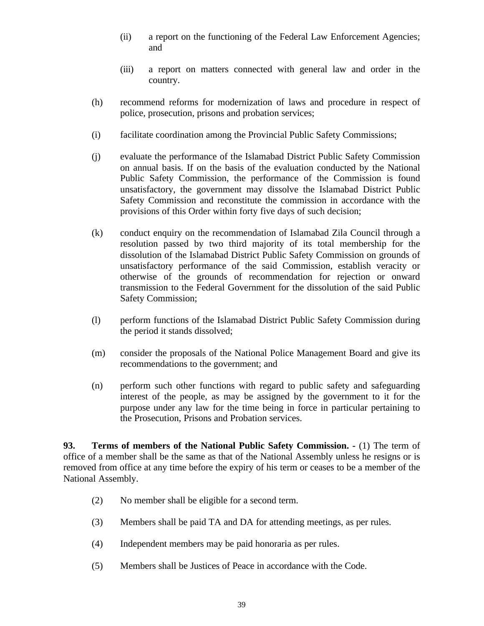- (ii) a report on the functioning of the Federal Law Enforcement Agencies; and
- (iii) a report on matters connected with general law and order in the country.
- (h) recommend reforms for modernization of laws and procedure in respect of police, prosecution, prisons and probation services;
- (i) facilitate coordination among the Provincial Public Safety Commissions;
- (j) evaluate the performance of the Islamabad District Public Safety Commission on annual basis. If on the basis of the evaluation conducted by the National Public Safety Commission, the performance of the Commission is found unsatisfactory, the government may dissolve the Islamabad District Public Safety Commission and reconstitute the commission in accordance with the provisions of this Order within forty five days of such decision;
- (k) conduct enquiry on the recommendation of Islamabad Zila Council through a resolution passed by two third majority of its total membership for the dissolution of the Islamabad District Public Safety Commission on grounds of unsatisfactory performance of the said Commission, establish veracity or otherwise of the grounds of recommendation for rejection or onward transmission to the Federal Government for the dissolution of the said Public Safety Commission;
- (l) perform functions of the Islamabad District Public Safety Commission during the period it stands dissolved;
- (m) consider the proposals of the National Police Management Board and give its recommendations to the government; and
- (n) perform such other functions with regard to public safety and safeguarding interest of the people, as may be assigned by the government to it for the purpose under any law for the time being in force in particular pertaining to the Prosecution, Prisons and Probation services.

**93. Terms of members of the National Public Safety Commission. -** (1) The term of office of a member shall be the same as that of the National Assembly unless he resigns or is removed from office at any time before the expiry of his term or ceases to be a member of the National Assembly.

- (2) No member shall be eligible for a second term.
- (3) Members shall be paid TA and DA for attending meetings, as per rules.
- (4) Independent members may be paid honoraria as per rules.
- (5) Members shall be Justices of Peace in accordance with the Code.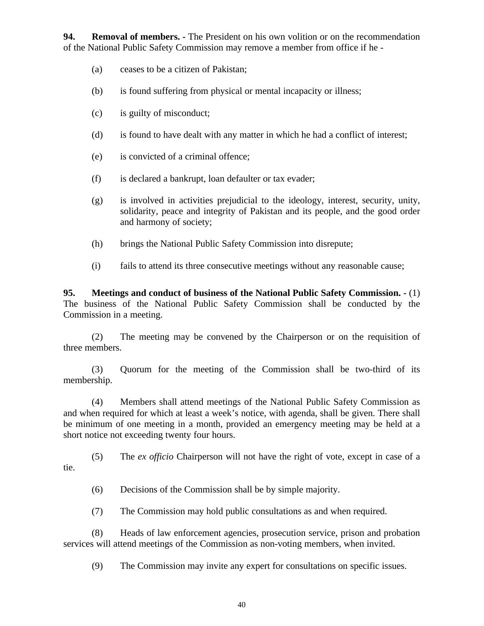**94. Removal of members. -** The President on his own volition or on the recommendation of the National Public Safety Commission may remove a member from office if he -

- (a) ceases to be a citizen of Pakistan;
- (b) is found suffering from physical or mental incapacity or illness;
- (c) is guilty of misconduct;
- (d) is found to have dealt with any matter in which he had a conflict of interest;
- (e) is convicted of a criminal offence;
- (f) is declared a bankrupt, loan defaulter or tax evader;
- (g) is involved in activities prejudicial to the ideology, interest, security, unity, solidarity, peace and integrity of Pakistan and its people, and the good order and harmony of society;
- (h) brings the National Public Safety Commission into disrepute;
- (i) fails to attend its three consecutive meetings without any reasonable cause;

**95. Meetings and conduct of business of the National Public Safety Commission. -** (1) The business of the National Public Safety Commission shall be conducted by the Commission in a meeting.

(2) The meeting may be convened by the Chairperson or on the requisition of three members.

(3) Quorum for the meeting of the Commission shall be two-third of its membership.

(4) Members shall attend meetings of the National Public Safety Commission as and when required for which at least a week's notice, with agenda, shall be given. There shall be minimum of one meeting in a month, provided an emergency meeting may be held at a short notice not exceeding twenty four hours.

(5) The *ex officio* Chairperson will not have the right of vote, except in case of a tie.

(6) Decisions of the Commission shall be by simple majority.

(7) The Commission may hold public consultations as and when required.

(8) Heads of law enforcement agencies, prosecution service, prison and probation services will attend meetings of the Commission as non-voting members, when invited.

(9) The Commission may invite any expert for consultations on specific issues.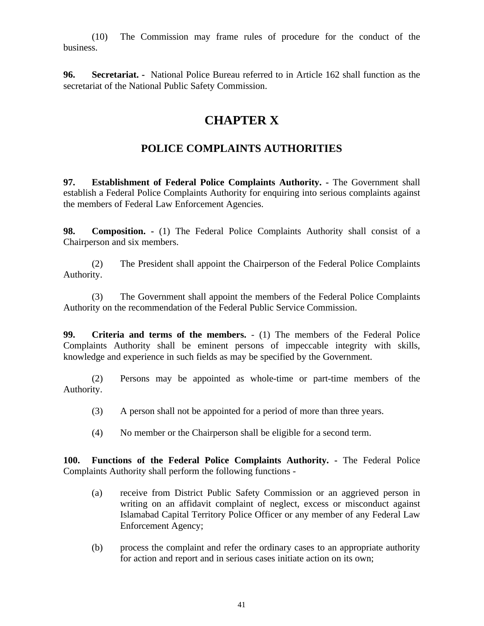(10) The Commission may frame rules of procedure for the conduct of the business.

**96. Secretariat. -** National Police Bureau referred to in Article 162 shall function as the secretariat of the National Public Safety Commission.

### **CHAPTER X**

### **POLICE COMPLAINTS AUTHORITIES**

**97. Establishment of Federal Police Complaints Authority. -** The Government shall establish a Federal Police Complaints Authority for enquiring into serious complaints against the members of Federal Law Enforcement Agencies.

**98. Composition. -** (1) The Federal Police Complaints Authority shall consist of a Chairperson and six members.

(2) The President shall appoint the Chairperson of the Federal Police Complaints Authority.

(3) The Government shall appoint the members of the Federal Police Complaints Authority on the recommendation of the Federal Public Service Commission.

**99. Criteria and terms of the members.** - (1) The members of the Federal Police Complaints Authority shall be eminent persons of impeccable integrity with skills, knowledge and experience in such fields as may be specified by the Government.

(2) Persons may be appointed as whole-time or part-time members of the Authority.

- (3) A person shall not be appointed for a period of more than three years.
- (4) No member or the Chairperson shall be eligible for a second term.

**100. Functions of the Federal Police Complaints Authority. -** The Federal Police Complaints Authority shall perform the following functions -

- (a) receive from District Public Safety Commission or an aggrieved person in writing on an affidavit complaint of neglect, excess or misconduct against Islamabad Capital Territory Police Officer or any member of any Federal Law Enforcement Agency;
- (b) process the complaint and refer the ordinary cases to an appropriate authority for action and report and in serious cases initiate action on its own;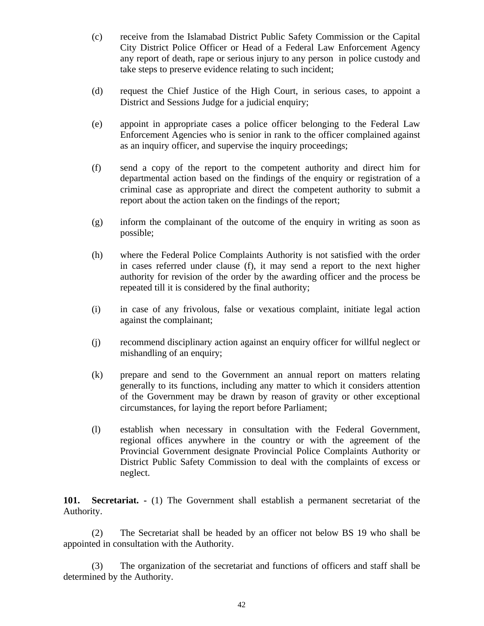- (c) receive from the Islamabad District Public Safety Commission or the Capital City District Police Officer or Head of a Federal Law Enforcement Agency any report of death, rape or serious injury to any person in police custody and take steps to preserve evidence relating to such incident;
- (d) request the Chief Justice of the High Court, in serious cases, to appoint a District and Sessions Judge for a judicial enquiry;
- (e) appoint in appropriate cases a police officer belonging to the Federal Law Enforcement Agencies who is senior in rank to the officer complained against as an inquiry officer, and supervise the inquiry proceedings;
- (f) send a copy of the report to the competent authority and direct him for departmental action based on the findings of the enquiry or registration of a criminal case as appropriate and direct the competent authority to submit a report about the action taken on the findings of the report;
- (g) inform the complainant of the outcome of the enquiry in writing as soon as possible;
- (h) where the Federal Police Complaints Authority is not satisfied with the order in cases referred under clause (f), it may send a report to the next higher authority for revision of the order by the awarding officer and the process be repeated till it is considered by the final authority;
- (i) in case of any frivolous, false or vexatious complaint, initiate legal action against the complainant;
- (j) recommend disciplinary action against an enquiry officer for willful neglect or mishandling of an enquiry;
- (k) prepare and send to the Government an annual report on matters relating generally to its functions, including any matter to which it considers attention of the Government may be drawn by reason of gravity or other exceptional circumstances, for laying the report before Parliament;
- (l) establish when necessary in consultation with the Federal Government, regional offices anywhere in the country or with the agreement of the Provincial Government designate Provincial Police Complaints Authority or District Public Safety Commission to deal with the complaints of excess or neglect.

**101. Secretariat. -** (1) The Government shall establish a permanent secretariat of the Authority.

(2) The Secretariat shall be headed by an officer not below BS 19 who shall be appointed in consultation with the Authority.

(3) The organization of the secretariat and functions of officers and staff shall be determined by the Authority.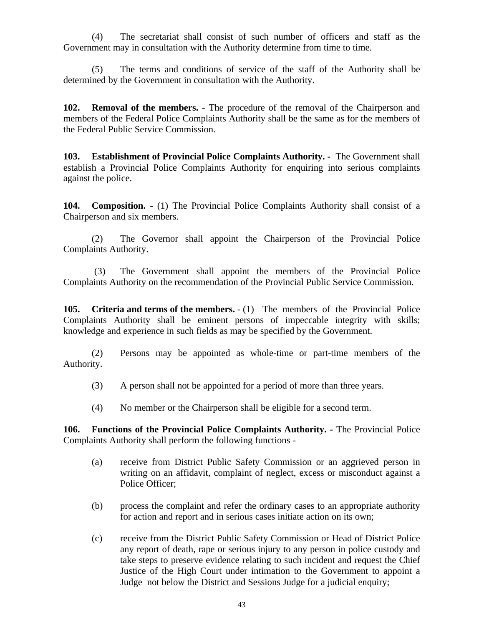(4) The secretariat shall consist of such number of officers and staff as the Government may in consultation with the Authority determine from time to time.

(5) The terms and conditions of service of the staff of the Authority shall be determined by the Government in consultation with the Authority.

**102. Removal of the members.** - The procedure of the removal of the Chairperson and members of the Federal Police Complaints Authority shall be the same as for the members of the Federal Public Service Commission.

**103. Establishment of Provincial Police Complaints Authority. -** The Government shall establish a Provincial Police Complaints Authority for enquiring into serious complaints against the police.

**104. Composition. -** (1) The Provincial Police Complaints Authority shall consist of a Chairperson and six members.

(2) The Governor shall appoint the Chairperson of the Provincial Police Complaints Authority.

 (3) The Government shall appoint the members of the Provincial Police Complaints Authority on the recommendation of the Provincial Public Service Commission.

**105. Criteria and terms of the members.** - (1) The members of the Provincial Police Complaints Authority shall be eminent persons of impeccable integrity with skills; knowledge and experience in such fields as may be specified by the Government.

(2) Persons may be appointed as whole-time or part-time members of the Authority.

- (3) A person shall not be appointed for a period of more than three years.
- (4) No member or the Chairperson shall be eligible for a second term.

**106. Functions of the Provincial Police Complaints Authority. -** The Provincial Police Complaints Authority shall perform the following functions -

- (a) receive from District Public Safety Commission or an aggrieved person in writing on an affidavit, complaint of neglect, excess or misconduct against a Police Officer;
- (b) process the complaint and refer the ordinary cases to an appropriate authority for action and report and in serious cases initiate action on its own;
- (c) receive from the District Public Safety Commission or Head of District Police any report of death, rape or serious injury to any person in police custody and take steps to preserve evidence relating to such incident and request the Chief Justice of the High Court under intimation to the Government to appoint a Judge not below the District and Sessions Judge for a judicial enquiry;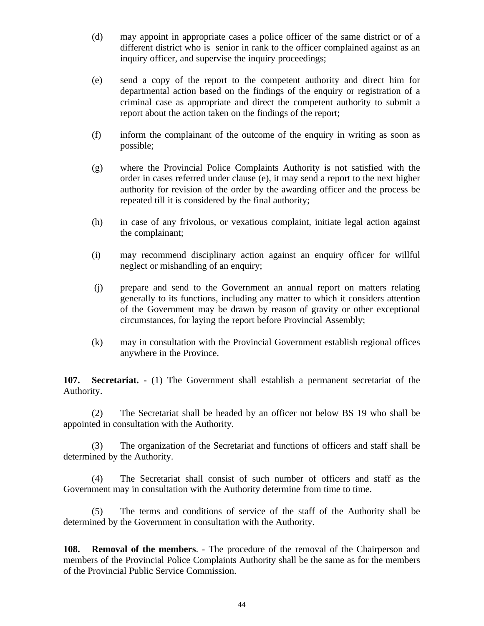- (d) may appoint in appropriate cases a police officer of the same district or of a different district who is senior in rank to the officer complained against as an inquiry officer, and supervise the inquiry proceedings;
- (e) send a copy of the report to the competent authority and direct him for departmental action based on the findings of the enquiry or registration of a criminal case as appropriate and direct the competent authority to submit a report about the action taken on the findings of the report;
- (f) inform the complainant of the outcome of the enquiry in writing as soon as possible;
- (g) where the Provincial Police Complaints Authority is not satisfied with the order in cases referred under clause (e), it may send a report to the next higher authority for revision of the order by the awarding officer and the process be repeated till it is considered by the final authority;
- (h) in case of any frivolous, or vexatious complaint, initiate legal action against the complainant;
- (i) may recommend disciplinary action against an enquiry officer for willful neglect or mishandling of an enquiry;
- (j) prepare and send to the Government an annual report on matters relating generally to its functions, including any matter to which it considers attention of the Government may be drawn by reason of gravity or other exceptional circumstances, for laying the report before Provincial Assembly;
- (k) may in consultation with the Provincial Government establish regional offices anywhere in the Province.

**107. Secretariat. -** (1) The Government shall establish a permanent secretariat of the Authority.

(2) The Secretariat shall be headed by an officer not below BS 19 who shall be appointed in consultation with the Authority.

(3) The organization of the Secretariat and functions of officers and staff shall be determined by the Authority.

(4) The Secretariat shall consist of such number of officers and staff as the Government may in consultation with the Authority determine from time to time.

(5) The terms and conditions of service of the staff of the Authority shall be determined by the Government in consultation with the Authority.

**108. Removal of the members**. - The procedure of the removal of the Chairperson and members of the Provincial Police Complaints Authority shall be the same as for the members of the Provincial Public Service Commission.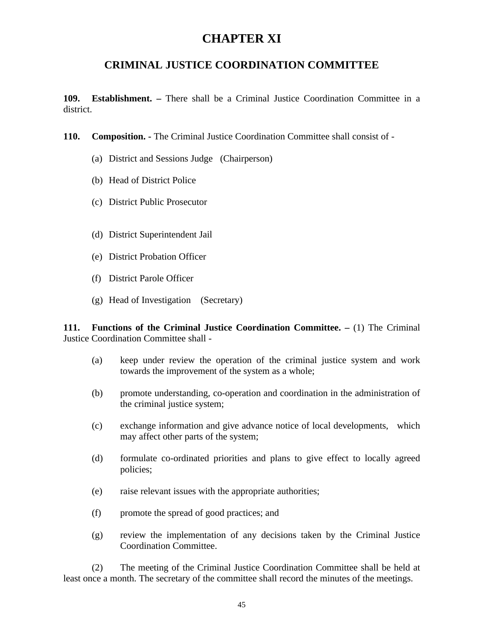## **CHAPTER XI**

### **CRIMINAL JUSTICE COORDINATION COMMITTEE**

**109. Establishment. –** There shall be a Criminal Justice Coordination Committee in a district.

- **110. Composition.** The Criminal Justice Coordination Committee shall consist of
	- (a) District and Sessions Judge (Chairperson)
	- (b) Head of District Police
	- (c) District Public Prosecutor
	- (d) District Superintendent Jail
	- (e) District Probation Officer
	- (f) District Parole Officer
	- (g) Head of Investigation (Secretary)

**111. Functions of the Criminal Justice Coordination Committee. –** (1) The Criminal Justice Coordination Committee shall -

- (a) keep under review the operation of the criminal justice system and work towards the improvement of the system as a whole;
- (b) promote understanding, co-operation and coordination in the administration of the criminal justice system;
- (c) exchange information and give advance notice of local developments, which may affect other parts of the system;
- (d) formulate co-ordinated priorities and plans to give effect to locally agreed policies;
- (e) raise relevant issues with the appropriate authorities;
- (f) promote the spread of good practices; and
- (g) review the implementation of any decisions taken by the Criminal Justice Coordination Committee.

(2) The meeting of the Criminal Justice Coordination Committee shall be held at least once a month. The secretary of the committee shall record the minutes of the meetings.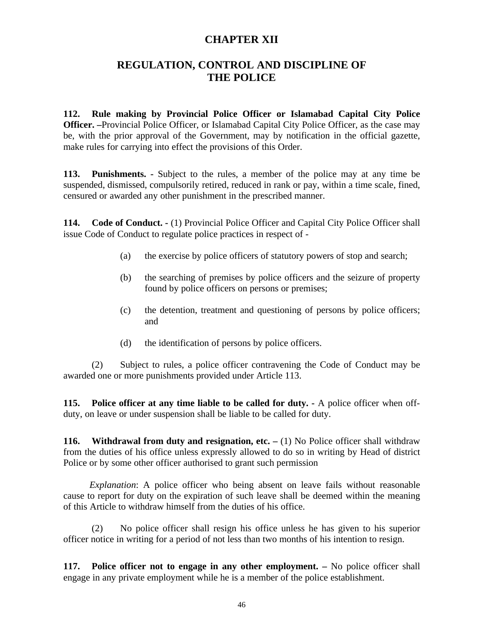#### **CHAPTER XII**

#### **REGULATION, CONTROL AND DISCIPLINE OF THE POLICE**

**112. Rule making by Provincial Police Officer or Islamabad Capital City Police Officer. –**Provincial Police Officer, or Islamabad Capital City Police Officer, as the case may be, with the prior approval of the Government, may by notification in the official gazette, make rules for carrying into effect the provisions of this Order.

**113. Punishments. -** Subject to the rules, a member of the police may at any time be suspended, dismissed, compulsorily retired, reduced in rank or pay, within a time scale, fined, censured or awarded any other punishment in the prescribed manner.

**114. Code of Conduct. -** (1) Provincial Police Officer and Capital City Police Officer shall issue Code of Conduct to regulate police practices in respect of -

- (a) the exercise by police officers of statutory powers of stop and search;
- (b) the searching of premises by police officers and the seizure of property found by police officers on persons or premises;
- (c) the detention, treatment and questioning of persons by police officers; and
- (d) the identification of persons by police officers.

(2) Subject to rules, a police officer contravening the Code of Conduct may be awarded one or more punishments provided under Article 113.

**115. Police officer at any time liable to be called for duty. -** A police officer when offduty, on leave or under suspension shall be liable to be called for duty.

**116.** Withdrawal from duty and resignation, etc. – (1) No Police officer shall withdraw from the duties of his office unless expressly allowed to do so in writing by Head of district Police or by some other officer authorised to grant such permission

 *Explanation*: A police officer who being absent on leave fails without reasonable cause to report for duty on the expiration of such leave shall be deemed within the meaning of this Article to withdraw himself from the duties of his office.

(2) No police officer shall resign his office unless he has given to his superior officer notice in writing for a period of not less than two months of his intention to resign.

**117. Police officer not to engage in any other employment. –** No police officer shall engage in any private employment while he is a member of the police establishment.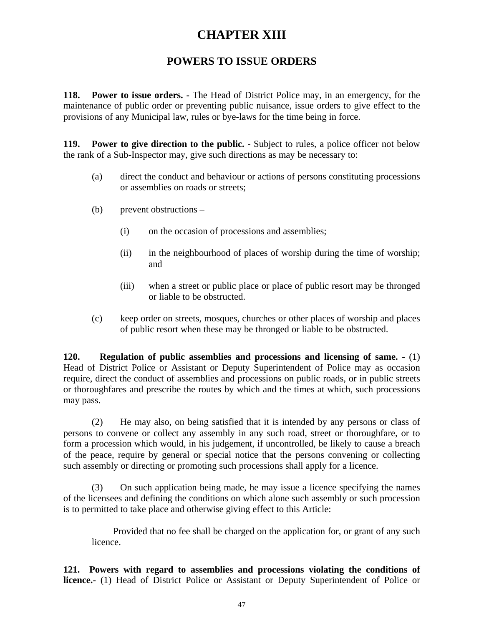### **CHAPTER XIII**

### **POWERS TO ISSUE ORDERS**

**118. Power to issue orders. -** The Head of District Police may, in an emergency, for the maintenance of public order or preventing public nuisance, issue orders to give effect to the provisions of any Municipal law, rules or bye-laws for the time being in force.

**119. Power to give direction to the public. -** Subject to rules, a police officer not below the rank of a Sub-Inspector may, give such directions as may be necessary to:

- (a) direct the conduct and behaviour or actions of persons constituting processions or assemblies on roads or streets;
- (b) prevent obstructions
	- (i) on the occasion of processions and assemblies;
	- (ii) in the neighbourhood of places of worship during the time of worship; and
	- (iii) when a street or public place or place of public resort may be thronged or liable to be obstructed.
- (c) keep order on streets, mosques, churches or other places of worship and places of public resort when these may be thronged or liable to be obstructed.

**120. Regulation of public assemblies and processions and licensing of same. -** (1) Head of District Police or Assistant or Deputy Superintendent of Police may as occasion require, direct the conduct of assemblies and processions on public roads, or in public streets or thoroughfares and prescribe the routes by which and the times at which, such processions may pass.

(2) He may also, on being satisfied that it is intended by any persons or class of persons to convene or collect any assembly in any such road, street or thoroughfare, or to form a procession which would, in his judgement, if uncontrolled, be likely to cause a breach of the peace, require by general or special notice that the persons convening or collecting such assembly or directing or promoting such processions shall apply for a licence.

(3) On such application being made, he may issue a licence specifying the names of the licensees and defining the conditions on which alone such assembly or such procession is to permitted to take place and otherwise giving effect to this Article:

Provided that no fee shall be charged on the application for, or grant of any such licence.

**121. Powers with regard to assemblies and processions violating the conditions of licence.-** (1) Head of District Police or Assistant or Deputy Superintendent of Police or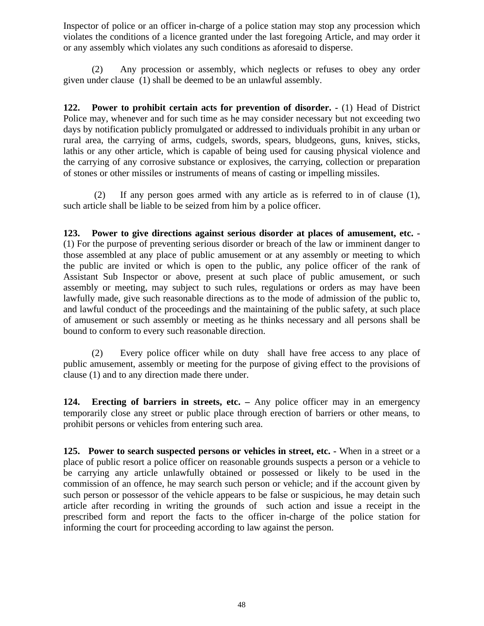Inspector of police or an officer in-charge of a police station may stop any procession which violates the conditions of a licence granted under the last foregoing Article, and may order it or any assembly which violates any such conditions as aforesaid to disperse.

(2) Any procession or assembly, which neglects or refuses to obey any order given under clause (1) shall be deemed to be an unlawful assembly.

**122. Power to prohibit certain acts for prevention of disorder. -** (1) Head of District Police may, whenever and for such time as he may consider necessary but not exceeding two days by notification publicly promulgated or addressed to individuals prohibit in any urban or rural area, the carrying of arms, cudgels, swords, spears, bludgeons, guns, knives, sticks, lathis or any other article, which is capable of being used for causing physical violence and the carrying of any corrosive substance or explosives, the carrying, collection or preparation of stones or other missiles or instruments of means of casting or impelling missiles.

 (2) If any person goes armed with any article as is referred to in of clause (1), such article shall be liable to be seized from him by a police officer.

**123. Power to give directions against serious disorder at places of amusement, etc. -** (1) For the purpose of preventing serious disorder or breach of the law or imminent danger to those assembled at any place of public amusement or at any assembly or meeting to which the public are invited or which is open to the public, any police officer of the rank of Assistant Sub Inspector or above, present at such place of public amusement, or such assembly or meeting, may subject to such rules, regulations or orders as may have been lawfully made, give such reasonable directions as to the mode of admission of the public to, and lawful conduct of the proceedings and the maintaining of the public safety, at such place of amusement or such assembly or meeting as he thinks necessary and all persons shall be bound to conform to every such reasonable direction.

(2) Every police officer while on duty shall have free access to any place of public amusement, assembly or meeting for the purpose of giving effect to the provisions of clause (1) and to any direction made there under.

**124. Erecting of barriers in streets, etc. –** Any police officer may in an emergency temporarily close any street or public place through erection of barriers or other means, to prohibit persons or vehicles from entering such area.

**125. Power to search suspected persons or vehicles in street, etc. -** When in a street or a place of public resort a police officer on reasonable grounds suspects a person or a vehicle to be carrying any article unlawfully obtained or possessed or likely to be used in the commission of an offence, he may search such person or vehicle; and if the account given by such person or possessor of the vehicle appears to be false or suspicious, he may detain such article after recording in writing the grounds of such action and issue a receipt in the prescribed form and report the facts to the officer in-charge of the police station for informing the court for proceeding according to law against the person.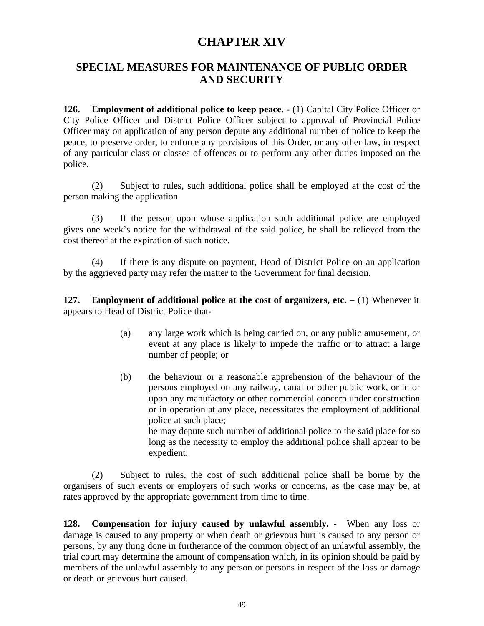## **CHAPTER XIV**

### **SPECIAL MEASURES FOR MAINTENANCE OF PUBLIC ORDER AND SECURITY**

**126. Employment of additional police to keep peace**. - (1) Capital City Police Officer or City Police Officer and District Police Officer subject to approval of Provincial Police Officer may on application of any person depute any additional number of police to keep the peace, to preserve order, to enforce any provisions of this Order, or any other law, in respect of any particular class or classes of offences or to perform any other duties imposed on the police.

(2) Subject to rules, such additional police shall be employed at the cost of the person making the application.

(3) If the person upon whose application such additional police are employed gives one week's notice for the withdrawal of the said police, he shall be relieved from the cost thereof at the expiration of such notice.

(4) If there is any dispute on payment, Head of District Police on an application by the aggrieved party may refer the matter to the Government for final decision.

**127. Employment of additional police at the cost of organizers, etc.** – (1) Whenever it appears to Head of District Police that-

- (a) any large work which is being carried on, or any public amusement, or event at any place is likely to impede the traffic or to attract a large number of people; or
- (b) the behaviour or a reasonable apprehension of the behaviour of the persons employed on any railway, canal or other public work, or in or upon any manufactory or other commercial concern under construction or in operation at any place, necessitates the employment of additional police at such place; he may depute such number of additional police to the said place for so long as the necessity to employ the additional police shall appear to be

expedient.

(2) Subject to rules, the cost of such additional police shall be borne by the organisers of such events or employers of such works or concerns, as the case may be, at rates approved by the appropriate government from time to time.

**128. Compensation for injury caused by unlawful assembly. -** When any loss or damage is caused to any property or when death or grievous hurt is caused to any person or persons, by any thing done in furtherance of the common object of an unlawful assembly, the trial court may determine the amount of compensation which, in its opinion should be paid by members of the unlawful assembly to any person or persons in respect of the loss or damage or death or grievous hurt caused.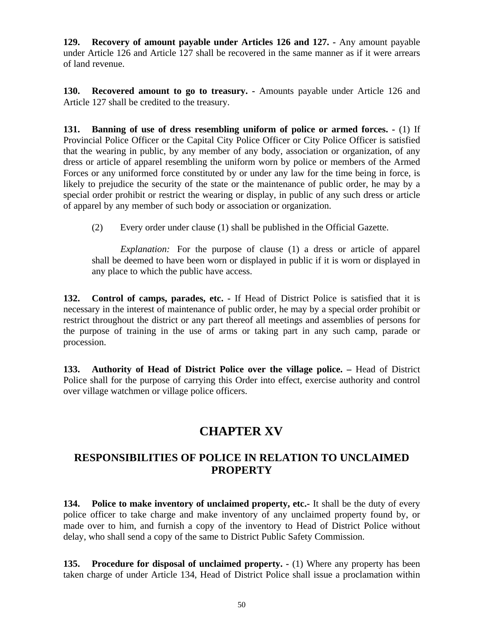**129. Recovery of amount payable under Articles 126 and 127. -** Any amount payable under Article 126 and Article 127 shall be recovered in the same manner as if it were arrears of land revenue.

**130. Recovered amount to go to treasury. -** Amounts payable under Article 126 and Article 127 shall be credited to the treasury.

**131. Banning of use of dress resembling uniform of police or armed forces. -** (1) If Provincial Police Officer or the Capital City Police Officer or City Police Officer is satisfied that the wearing in public, by any member of any body, association or organization, of any dress or article of apparel resembling the uniform worn by police or members of the Armed Forces or any uniformed force constituted by or under any law for the time being in force, is likely to prejudice the security of the state or the maintenance of public order, he may by a special order prohibit or restrict the wearing or display, in public of any such dress or article of apparel by any member of such body or association or organization.

(2) Every order under clause (1) shall be published in the Official Gazette.

*Explanation:* For the purpose of clause (1) a dress or article of apparel shall be deemed to have been worn or displayed in public if it is worn or displayed in any place to which the public have access.

**132. Control of camps, parades, etc. -** If Head of District Police is satisfied that it is necessary in the interest of maintenance of public order, he may by a special order prohibit or restrict throughout the district or any part thereof all meetings and assemblies of persons for the purpose of training in the use of arms or taking part in any such camp, parade or procession.

133. Authority of Head of District Police over the village police. – Head of District Police shall for the purpose of carrying this Order into effect, exercise authority and control over village watchmen or village police officers.

# **CHAPTER XV**

### **RESPONSIBILITIES OF POLICE IN RELATION TO UNCLAIMED PROPERTY**

**134. Police to make inventory of unclaimed property, etc.-** It shall be the duty of every police officer to take charge and make inventory of any unclaimed property found by, or made over to him, and furnish a copy of the inventory to Head of District Police without delay, who shall send a copy of the same to District Public Safety Commission.

**135. Procedure for disposal of unclaimed property. -** (1) Where any property has been taken charge of under Article 134, Head of District Police shall issue a proclamation within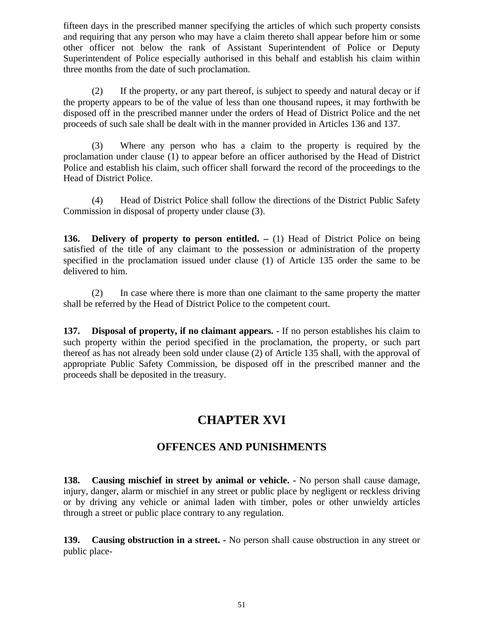fifteen days in the prescribed manner specifying the articles of which such property consists and requiring that any person who may have a claim thereto shall appear before him or some other officer not below the rank of Assistant Superintendent of Police or Deputy Superintendent of Police especially authorised in this behalf and establish his claim within three months from the date of such proclamation.

(2) If the property, or any part thereof, is subject to speedy and natural decay or if the property appears to be of the value of less than one thousand rupees, it may forthwith be disposed off in the prescribed manner under the orders of Head of District Police and the net proceeds of such sale shall be dealt with in the manner provided in Articles 136 and 137.

(3) Where any person who has a claim to the property is required by the proclamation under clause (1) to appear before an officer authorised by the Head of District Police and establish his claim, such officer shall forward the record of the proceedings to the Head of District Police.

(4) Head of District Police shall follow the directions of the District Public Safety Commission in disposal of property under clause (3).

**136. Delivery of property to person entitled. –** (1) Head of District Police on being satisfied of the title of any claimant to the possession or administration of the property specified in the proclamation issued under clause (1) of Article 135 order the same to be delivered to him.

(2) In case where there is more than one claimant to the same property the matter shall be referred by the Head of District Police to the competent court.

**137. Disposal of property, if no claimant appears. -** If no person establishes his claim to such property within the period specified in the proclamation, the property, or such part thereof as has not already been sold under clause (2) of Article 135 shall, with the approval of appropriate Public Safety Commission, be disposed off in the prescribed manner and the proceeds shall be deposited in the treasury.

# **CHAPTER XVI**

### **OFFENCES AND PUNISHMENTS**

**138. Causing mischief in street by animal or vehicle. -** No person shall cause damage, injury, danger, alarm or mischief in any street or public place by negligent or reckless driving or by driving any vehicle or animal laden with timber, poles or other unwieldy articles through a street or public place contrary to any regulation.

**139. Causing obstruction in a street. -** No person shall cause obstruction in any street or public place-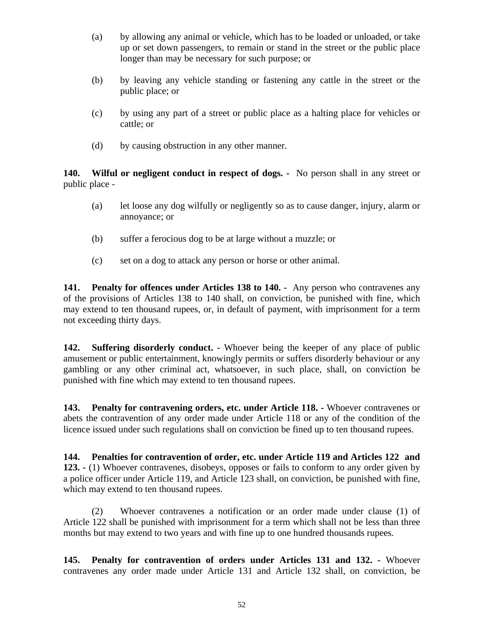- (a) by allowing any animal or vehicle, which has to be loaded or unloaded, or take up or set down passengers, to remain or stand in the street or the public place longer than may be necessary for such purpose; or
- (b) by leaving any vehicle standing or fastening any cattle in the street or the public place; or
- (c) by using any part of a street or public place as a halting place for vehicles or cattle; or
- (d) by causing obstruction in any other manner.

**140. Wilful or negligent conduct in respect of dogs. -** No person shall in any street or public place -

- (a) let loose any dog wilfully or negligently so as to cause danger, injury, alarm or annoyance; or
- (b) suffer a ferocious dog to be at large without a muzzle; or
- (c) set on a dog to attack any person or horse or other animal.

**141. Penalty for offences under Articles 138 to 140. -** Any person who contravenes any of the provisions of Articles 138 to 140 shall, on conviction, be punished with fine, which may extend to ten thousand rupees, or, in default of payment, with imprisonment for a term not exceeding thirty days.

**142. Suffering disorderly conduct. -** Whoever being the keeper of any place of public amusement or public entertainment, knowingly permits or suffers disorderly behaviour or any gambling or any other criminal act, whatsoever, in such place, shall, on conviction be punished with fine which may extend to ten thousand rupees.

**143. Penalty for contravening orders, etc. under Article 118. -** Whoever contravenes or abets the contravention of any order made under Article 118 or any of the condition of the licence issued under such regulations shall on conviction be fined up to ten thousand rupees.

**144. Penalties for contravention of order, etc. under Article 119 and Articles 122 and 123. -** (1) Whoever contravenes, disobeys, opposes or fails to conform to any order given by a police officer under Article 119, and Article 123 shall, on conviction, be punished with fine, which may extend to ten thousand rupees.

(2) Whoever contravenes a notification or an order made under clause (1) of Article 122 shall be punished with imprisonment for a term which shall not be less than three months but may extend to two years and with fine up to one hundred thousands rupees.

**145. Penalty for contravention of orders under Articles 131 and 132. -** Whoever contravenes any order made under Article 131 and Article 132 shall, on conviction, be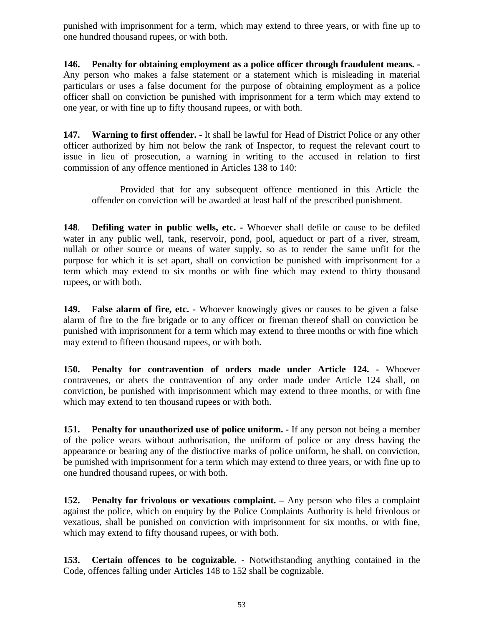punished with imprisonment for a term, which may extend to three years, or with fine up to one hundred thousand rupees, or with both.

**146. Penalty for obtaining employment as a police officer through fraudulent means. -** Any person who makes a false statement or a statement which is misleading in material particulars or uses a false document for the purpose of obtaining employment as a police officer shall on conviction be punished with imprisonment for a term which may extend to one year, or with fine up to fifty thousand rupees, or with both.

**147. Warning to first offender. -** It shall be lawful for Head of District Police or any other officer authorized by him not below the rank of Inspector, to request the relevant court to issue in lieu of prosecution, a warning in writing to the accused in relation to first commission of any offence mentioned in Articles 138 to 140:

Provided that for any subsequent offence mentioned in this Article the offender on conviction will be awarded at least half of the prescribed punishment.

**148**. **Defiling water in public wells, etc. -** Whoever shall defile or cause to be defiled water in any public well, tank, reservoir, pond, pool, aqueduct or part of a river, stream, nullah or other source or means of water supply, so as to render the same unfit for the purpose for which it is set apart, shall on conviction be punished with imprisonment for a term which may extend to six months or with fine which may extend to thirty thousand rupees, or with both.

**149. False alarm of fire, etc. -** Whoever knowingly gives or causes to be given a false alarm of fire to the fire brigade or to any officer or fireman thereof shall on conviction be punished with imprisonment for a term which may extend to three months or with fine which may extend to fifteen thousand rupees, or with both.

**150. Penalty for contravention of orders made under Article 124. -** Whoever contravenes, or abets the contravention of any order made under Article 124 shall, on conviction, be punished with imprisonment which may extend to three months, or with fine which may extend to ten thousand rupees or with both.

**151. Penalty for unauthorized use of police uniform. -** If any person not being a member of the police wears without authorisation, the uniform of police or any dress having the appearance or bearing any of the distinctive marks of police uniform, he shall, on conviction, be punished with imprisonment for a term which may extend to three years, or with fine up to one hundred thousand rupees, or with both.

**152. Penalty for frivolous or vexatious complaint. –** Any person who files a complaint against the police, which on enquiry by the Police Complaints Authority is held frivolous or vexatious, shall be punished on conviction with imprisonment for six months, or with fine, which may extend to fifty thousand rupees, or with both.

**153. Certain offences to be cognizable. -** Notwithstanding anything contained in the Code, offences falling under Articles 148 to 152 shall be cognizable.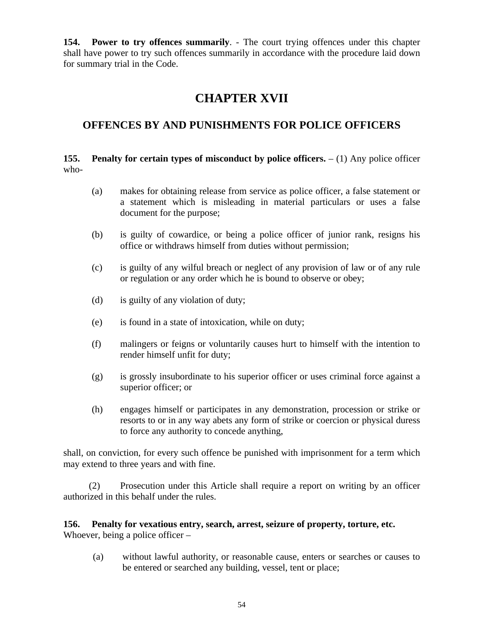**154. Power to try offences summarily**. - The court trying offences under this chapter shall have power to try such offences summarily in accordance with the procedure laid down for summary trial in the Code.

# **CHAPTER XVII**

### **OFFENCES BY AND PUNISHMENTS FOR POLICE OFFICERS**

**155. Penalty for certain types of misconduct by police officers.** – (1) Any police officer who-

- (a) makes for obtaining release from service as police officer, a false statement or a statement which is misleading in material particulars or uses a false document for the purpose;
- (b) is guilty of cowardice, or being a police officer of junior rank, resigns his office or withdraws himself from duties without permission;
- (c) is guilty of any wilful breach or neglect of any provision of law or of any rule or regulation or any order which he is bound to observe or obey;
- (d) is guilty of any violation of duty;
- (e) is found in a state of intoxication, while on duty;
- (f) malingers or feigns or voluntarily causes hurt to himself with the intention to render himself unfit for duty;
- (g) is grossly insubordinate to his superior officer or uses criminal force against a superior officer; or
- (h) engages himself or participates in any demonstration, procession or strike or resorts to or in any way abets any form of strike or coercion or physical duress to force any authority to concede anything,

shall, on conviction, for every such offence be punished with imprisonment for a term which may extend to three years and with fine.

(2) Prosecution under this Article shall require a report on writing by an officer authorized in this behalf under the rules.

#### **156. Penalty for vexatious entry, search, arrest, seizure of property, torture, etc.** Whoever, being a police officer –

(a) without lawful authority, or reasonable cause, enters or searches or causes to be entered or searched any building, vessel, tent or place;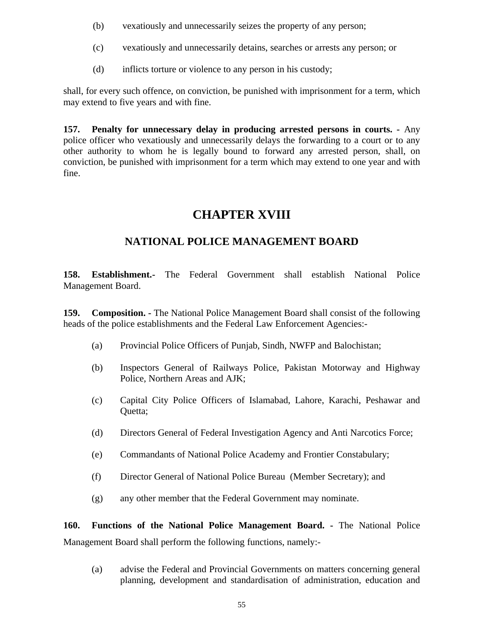- (b) vexatiously and unnecessarily seizes the property of any person;
- (c) vexatiously and unnecessarily detains, searches or arrests any person; or
- (d) inflicts torture or violence to any person in his custody;

shall, for every such offence, on conviction, be punished with imprisonment for a term, which may extend to five years and with fine.

**157. Penalty for unnecessary delay in producing arrested persons in courts. -** Any police officer who vexatiously and unnecessarily delays the forwarding to a court or to any other authority to whom he is legally bound to forward any arrested person, shall, on conviction, be punished with imprisonment for a term which may extend to one year and with fine.

# **CHAPTER XVIII**

### **NATIONAL POLICE MANAGEMENT BOARD**

**158. Establishment.-** The Federal Government shall establish National Police Management Board.

**159. Composition. -** The National Police Management Board shall consist of the following heads of the police establishments and the Federal Law Enforcement Agencies:-

- (a) Provincial Police Officers of Punjab, Sindh, NWFP and Balochistan;
- (b) Inspectors General of Railways Police, Pakistan Motorway and Highway Police, Northern Areas and AJK;
- (c) Capital City Police Officers of Islamabad, Lahore, Karachi, Peshawar and Quetta;
- (d) Directors General of Federal Investigation Agency and Anti Narcotics Force;
- (e) Commandants of National Police Academy and Frontier Constabulary;
- (f) Director General of National Police Bureau (Member Secretary); and
- (g) any other member that the Federal Government may nominate.

**160. Functions of the National Police Management Board. -** The National Police Management Board shall perform the following functions, namely:-

(a) advise the Federal and Provincial Governments on matters concerning general planning, development and standardisation of administration, education and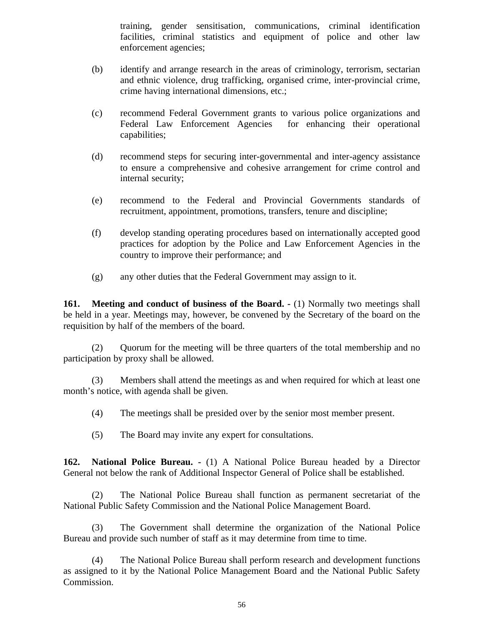training, gender sensitisation, communications, criminal identification facilities, criminal statistics and equipment of police and other law enforcement agencies;

- (b) identify and arrange research in the areas of criminology, terrorism, sectarian and ethnic violence, drug trafficking, organised crime, inter-provincial crime, crime having international dimensions, etc.;
- (c) recommend Federal Government grants to various police organizations and Federal Law Enforcement Agencies for enhancing their operational capabilities;
- (d) recommend steps for securing inter-governmental and inter-agency assistance to ensure a comprehensive and cohesive arrangement for crime control and internal security;
- (e) recommend to the Federal and Provincial Governments standards of recruitment, appointment, promotions, transfers, tenure and discipline;
- (f) develop standing operating procedures based on internationally accepted good practices for adoption by the Police and Law Enforcement Agencies in the country to improve their performance; and
- (g) any other duties that the Federal Government may assign to it.

**161. Meeting and conduct of business of the Board.** - (1) Normally two meetings shall be held in a year. Meetings may, however, be convened by the Secretary of the board on the requisition by half of the members of the board.

(2) Quorum for the meeting will be three quarters of the total membership and no participation by proxy shall be allowed.

(3) Members shall attend the meetings as and when required for which at least one month's notice, with agenda shall be given.

- (4) The meetings shall be presided over by the senior most member present.
- (5) The Board may invite any expert for consultations.

**162. National Police Bureau.** - (1) A National Police Bureau headed by a Director General not below the rank of Additional Inspector General of Police shall be established.

(2) The National Police Bureau shall function as permanent secretariat of the National Public Safety Commission and the National Police Management Board.

(3) The Government shall determine the organization of the National Police Bureau and provide such number of staff as it may determine from time to time.

(4) The National Police Bureau shall perform research and development functions as assigned to it by the National Police Management Board and the National Public Safety Commission.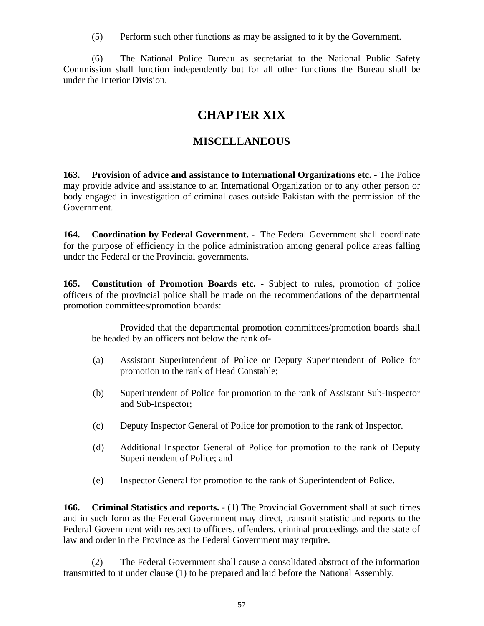(5) Perform such other functions as may be assigned to it by the Government.

(6) The National Police Bureau as secretariat to the National Public Safety Commission shall function independently but for all other functions the Bureau shall be under the Interior Division.

# **CHAPTER XIX**

### **MISCELLANEOUS**

**163. Provision of advice and assistance to International Organizations etc. -** The Police may provide advice and assistance to an International Organization or to any other person or body engaged in investigation of criminal cases outside Pakistan with the permission of the Government.

**164. Coordination by Federal Government. -** The Federal Government shall coordinate for the purpose of efficiency in the police administration among general police areas falling under the Federal or the Provincial governments.

**165. Constitution of Promotion Boards etc. -** Subject to rules, promotion of police officers of the provincial police shall be made on the recommendations of the departmental promotion committees/promotion boards:

Provided that the departmental promotion committees/promotion boards shall be headed by an officers not below the rank of-

- (a) Assistant Superintendent of Police or Deputy Superintendent of Police for promotion to the rank of Head Constable;
- (b) Superintendent of Police for promotion to the rank of Assistant Sub-Inspector and Sub-Inspector;
- (c) Deputy Inspector General of Police for promotion to the rank of Inspector.
- (d) Additional Inspector General of Police for promotion to the rank of Deputy Superintendent of Police; and
- (e) Inspector General for promotion to the rank of Superintendent of Police.

**166. Criminal Statistics and reports.** - (1) The Provincial Government shall at such times and in such form as the Federal Government may direct, transmit statistic and reports to the Federal Government with respect to officers, offenders, criminal proceedings and the state of law and order in the Province as the Federal Government may require.

(2) The Federal Government shall cause a consolidated abstract of the information transmitted to it under clause (1) to be prepared and laid before the National Assembly.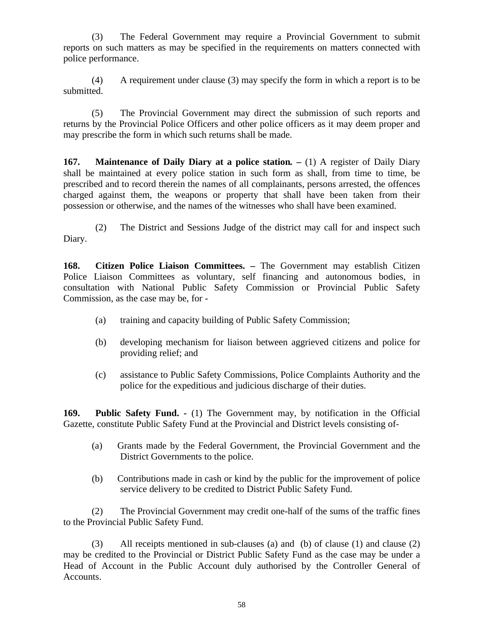(3) The Federal Government may require a Provincial Government to submit reports on such matters as may be specified in the requirements on matters connected with police performance.

(4) A requirement under clause (3) may specify the form in which a report is to be submitted.

(5) The Provincial Government may direct the submission of such reports and returns by the Provincial Police Officers and other police officers as it may deem proper and may prescribe the form in which such returns shall be made.

**167. Maintenance of Daily Diary at a police station***. –* (1) A register of Daily Diary shall be maintained at every police station in such form as shall, from time to time, be prescribed and to record therein the names of all complainants, persons arrested, the offences charged against them, the weapons or property that shall have been taken from their possession or otherwise, and the names of the witnesses who shall have been examined.

(2) The District and Sessions Judge of the district may call for and inspect such Diary.

**168. Citizen Police Liaison Committees. –** The Government may establish Citizen Police Liaison Committees as voluntary, self financing and autonomous bodies, in consultation with National Public Safety Commission or Provincial Public Safety Commission, as the case may be, for -

- (a) training and capacity building of Public Safety Commission;
- (b) developing mechanism for liaison between aggrieved citizens and police for providing relief; and
- (c) assistance to Public Safety Commissions, Police Complaints Authority and the police for the expeditious and judicious discharge of their duties.

**169. Public Safety Fund. -** (1) The Government may, by notification in the Official Gazette, constitute Public Safety Fund at the Provincial and District levels consisting of-

- (a) Grants made by the Federal Government, the Provincial Government and the District Governments to the police.
- (b) Contributions made in cash or kind by the public for the improvement of police service delivery to be credited to District Public Safety Fund.

(2) The Provincial Government may credit one-half of the sums of the traffic fines to the Provincial Public Safety Fund.

(3) All receipts mentioned in sub-clauses (a) and (b) of clause (1) and clause (2) may be credited to the Provincial or District Public Safety Fund as the case may be under a Head of Account in the Public Account duly authorised by the Controller General of Accounts.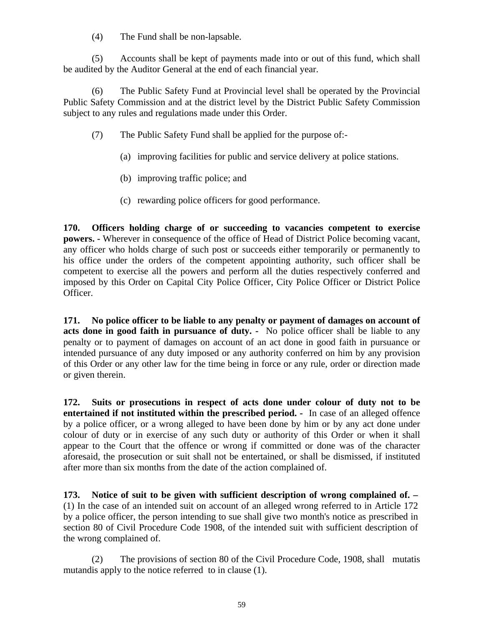(4) The Fund shall be non-lapsable.

(5) Accounts shall be kept of payments made into or out of this fund, which shall be audited by the Auditor General at the end of each financial year.

(6) The Public Safety Fund at Provincial level shall be operated by the Provincial Public Safety Commission and at the district level by the District Public Safety Commission subject to any rules and regulations made under this Order.

- (7) The Public Safety Fund shall be applied for the purpose of:-
	- (a) improving facilities for public and service delivery at police stations.
	- (b) improving traffic police; and
	- (c) rewarding police officers for good performance.

**170. Officers holding charge of or succeeding to vacancies competent to exercise powers. -** Wherever in consequence of the office of Head of District Police becoming vacant, any officer who holds charge of such post or succeeds either temporarily or permanently to his office under the orders of the competent appointing authority, such officer shall be competent to exercise all the powers and perform all the duties respectively conferred and imposed by this Order on Capital City Police Officer, City Police Officer or District Police Officer.

**171. No police officer to be liable to any penalty or payment of damages on account of acts done in good faith in pursuance of duty. -** No police officer shall be liable to any penalty or to payment of damages on account of an act done in good faith in pursuance or intended pursuance of any duty imposed or any authority conferred on him by any provision of this Order or any other law for the time being in force or any rule, order or direction made or given therein.

**172. Suits or prosecutions in respect of acts done under colour of duty not to be entertained if not instituted within the prescribed period. -** In case of an alleged offence by a police officer, or a wrong alleged to have been done by him or by any act done under colour of duty or in exercise of any such duty or authority of this Order or when it shall appear to the Court that the offence or wrong if committed or done was of the character aforesaid, the prosecution or suit shall not be entertained, or shall be dismissed, if instituted after more than six months from the date of the action complained of.

**173. Notice of suit to be given with sufficient description of wrong complained of. –** (1) In the case of an intended suit on account of an alleged wrong referred to in Article 172 by a police officer, the person intending to sue shall give two month's notice as prescribed in section 80 of Civil Procedure Code 1908, of the intended suit with sufficient description of the wrong complained of.

(2) The provisions of section 80 of the Civil Procedure Code, 1908, shall mutatis mutandis apply to the notice referred to in clause (1).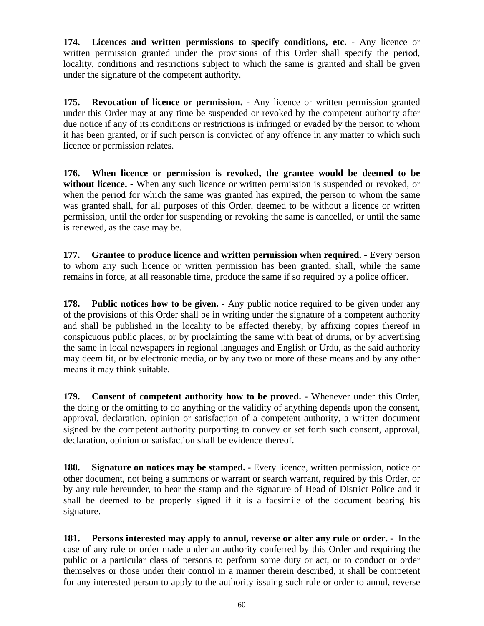**174. Licences and written permissions to specify conditions, etc. -** Any licence or written permission granted under the provisions of this Order shall specify the period, locality, conditions and restrictions subject to which the same is granted and shall be given under the signature of the competent authority.

**175. Revocation of licence or permission. -** Any licence or written permission granted under this Order may at any time be suspended or revoked by the competent authority after due notice if any of its conditions or restrictions is infringed or evaded by the person to whom it has been granted, or if such person is convicted of any offence in any matter to which such licence or permission relates.

**176. When licence or permission is revoked, the grantee would be deemed to be without licence. -** When any such licence or written permission is suspended or revoked, or when the period for which the same was granted has expired, the person to whom the same was granted shall, for all purposes of this Order, deemed to be without a licence or written permission, until the order for suspending or revoking the same is cancelled, or until the same is renewed, as the case may be.

**177. Grantee to produce licence and written permission when required. -** Every person to whom any such licence or written permission has been granted, shall, while the same remains in force, at all reasonable time, produce the same if so required by a police officer.

**178. Public notices how to be given. -** Any public notice required to be given under any of the provisions of this Order shall be in writing under the signature of a competent authority and shall be published in the locality to be affected thereby, by affixing copies thereof in conspicuous public places, or by proclaiming the same with beat of drums, or by advertising the same in local newspapers in regional languages and English or Urdu, as the said authority may deem fit, or by electronic media, or by any two or more of these means and by any other means it may think suitable.

**179. Consent of competent authority how to be proved. -** Whenever under this Order, the doing or the omitting to do anything or the validity of anything depends upon the consent, approval, declaration, opinion or satisfaction of a competent authority, a written document signed by the competent authority purporting to convey or set forth such consent, approval, declaration, opinion or satisfaction shall be evidence thereof.

**180. Signature on notices may be stamped.** - Every licence, written permission, notice or other document, not being a summons or warrant or search warrant, required by this Order, or by any rule hereunder, to bear the stamp and the signature of Head of District Police and it shall be deemed to be properly signed if it is a facsimile of the document bearing his signature.

**181. Persons interested may apply to annul, reverse or alter any rule or order. -** In the case of any rule or order made under an authority conferred by this Order and requiring the public or a particular class of persons to perform some duty or act, or to conduct or order themselves or those under their control in a manner therein described, it shall be competent for any interested person to apply to the authority issuing such rule or order to annul, reverse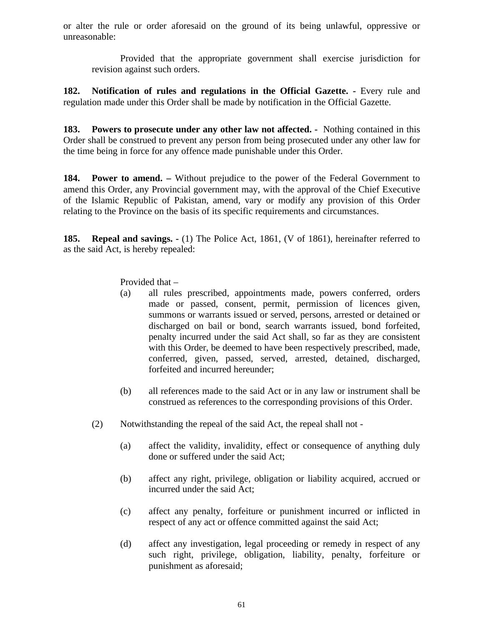or alter the rule or order aforesaid on the ground of its being unlawful, oppressive or unreasonable:

Provided that the appropriate government shall exercise jurisdiction for revision against such orders.

**182. Notification of rules and regulations in the Official Gazette. -** Every rule and regulation made under this Order shall be made by notification in the Official Gazette.

**183. Powers to prosecute under any other law not affected. -** Nothing contained in this Order shall be construed to prevent any person from being prosecuted under any other law for the time being in force for any offence made punishable under this Order.

**184. Power to amend. –** Without prejudice to the power of the Federal Government to amend this Order, any Provincial government may, with the approval of the Chief Executive of the Islamic Republic of Pakistan, amend, vary or modify any provision of this Order relating to the Province on the basis of its specific requirements and circumstances.

**185. Repeal and savings. -** (1) The Police Act, 1861, (V of 1861), hereinafter referred to as the said Act, is hereby repealed:

Provided that –

- (a) all rules prescribed, appointments made, powers conferred, orders made or passed, consent, permit, permission of licences given, summons or warrants issued or served, persons, arrested or detained or discharged on bail or bond, search warrants issued, bond forfeited, penalty incurred under the said Act shall, so far as they are consistent with this Order, be deemed to have been respectively prescribed, made, conferred, given, passed, served, arrested, detained, discharged, forfeited and incurred hereunder;
- (b) all references made to the said Act or in any law or instrument shall be construed as references to the corresponding provisions of this Order.
- (2) Notwithstanding the repeal of the said Act, the repeal shall not
	- (a) affect the validity, invalidity, effect or consequence of anything duly done or suffered under the said Act;
	- (b) affect any right, privilege, obligation or liability acquired, accrued or incurred under the said Act;
	- (c) affect any penalty, forfeiture or punishment incurred or inflicted in respect of any act or offence committed against the said Act;
	- (d) affect any investigation, legal proceeding or remedy in respect of any such right, privilege, obligation, liability, penalty, forfeiture or punishment as aforesaid;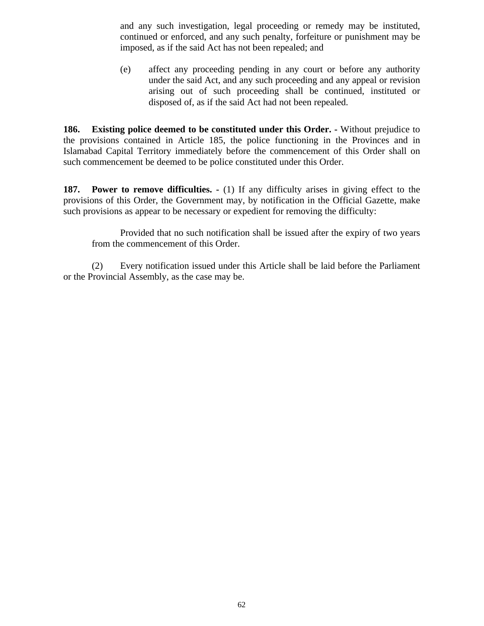and any such investigation, legal proceeding or remedy may be instituted, continued or enforced, and any such penalty, forfeiture or punishment may be imposed, as if the said Act has not been repealed; and

(e) affect any proceeding pending in any court or before any authority under the said Act, and any such proceeding and any appeal or revision arising out of such proceeding shall be continued, instituted or disposed of, as if the said Act had not been repealed.

**186. Existing police deemed to be constituted under this Order. -** Without prejudice to the provisions contained in Article 185, the police functioning in the Provinces and in Islamabad Capital Territory immediately before the commencement of this Order shall on such commencement be deemed to be police constituted under this Order.

**187. Power to remove difficulties. -** (1) If any difficulty arises in giving effect to the provisions of this Order, the Government may, by notification in the Official Gazette, make such provisions as appear to be necessary or expedient for removing the difficulty:

Provided that no such notification shall be issued after the expiry of two years from the commencement of this Order.

(2) Every notification issued under this Article shall be laid before the Parliament or the Provincial Assembly, as the case may be.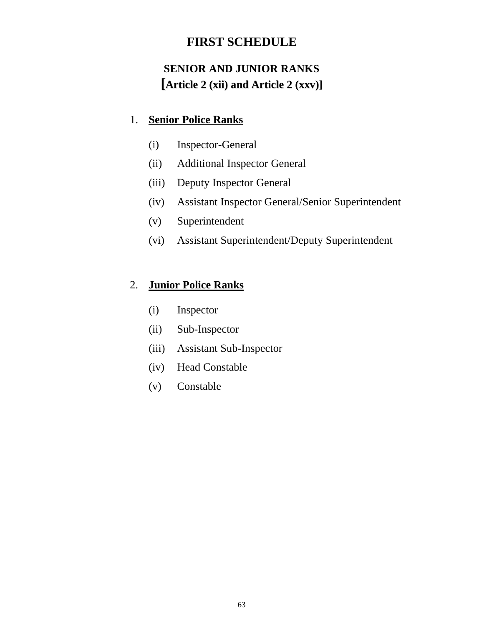# **FIRST SCHEDULE**

# **SENIOR AND JUNIOR RANKS [Article 2 (xii) and Article 2 (xxv)]**

### 1. **Senior Police Ranks**

- (i) Inspector-General
- (ii) Additional Inspector General
- (iii) Deputy Inspector General
- (iv) Assistant Inspector General/Senior Superintendent
- (v) Superintendent
- (vi) Assistant Superintendent/Deputy Superintendent

### 2. **Junior Police Ranks**

- (i) Inspector
- (ii) Sub-Inspector
- (iii) Assistant Sub-Inspector
- (iv) Head Constable
- (v) Constable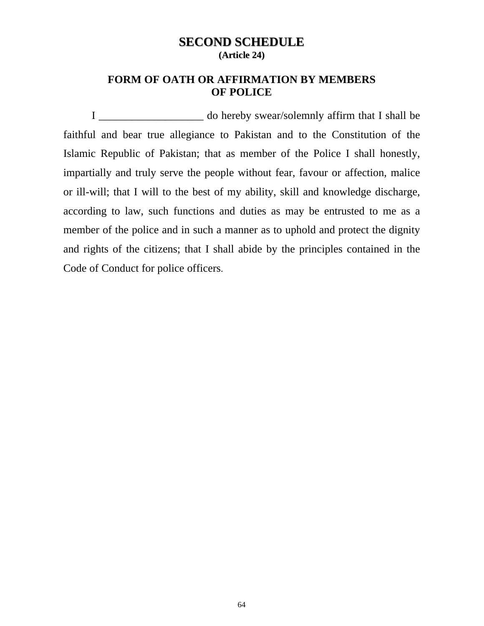### **SECOND SCHEDULE (Article 24)**

### **FORM OF OATH OR AFFIRMATION BY MEMBERS OF POLICE**

I \_\_\_\_\_\_\_\_\_\_\_\_\_\_\_\_\_\_\_ do hereby swear/solemnly affirm that I shall be faithful and bear true allegiance to Pakistan and to the Constitution of the Islamic Republic of Pakistan; that as member of the Police I shall honestly, impartially and truly serve the people without fear, favour or affection, malice or ill-will; that I will to the best of my ability, skill and knowledge discharge, according to law, such functions and duties as may be entrusted to me as a member of the police and in such a manner as to uphold and protect the dignity and rights of the citizens; that I shall abide by the principles contained in the Code of Conduct for police officers.